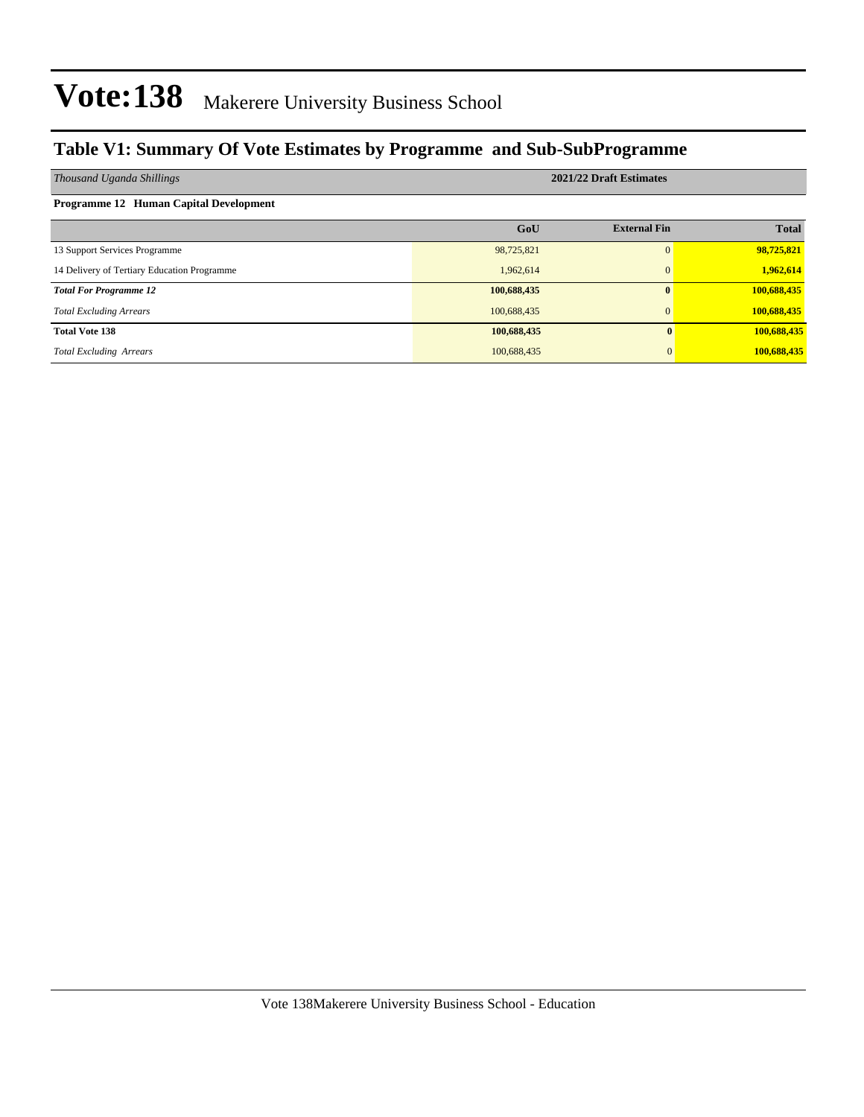### **Table V1: Summary Of Vote Estimates by Programme and Sub-SubProgramme**

| Thousand Uganda Shillings                   | 2021/22 Draft Estimates |                     |              |  |  |  |  |
|---------------------------------------------|-------------------------|---------------------|--------------|--|--|--|--|
| Programme 12 Human Capital Development      |                         |                     |              |  |  |  |  |
|                                             | GoU                     | <b>External Fin</b> | <b>Total</b> |  |  |  |  |
| 13 Support Services Programme               | 98,725,821              | $\Omega$            | 98,725,821   |  |  |  |  |
| 14 Delivery of Tertiary Education Programme | 1,962,614               | $\Omega$            | 1,962,614    |  |  |  |  |
| <b>Total For Programme 12</b>               | 100,688,435             | 0                   | 100,688,435  |  |  |  |  |
| <b>Total Excluding Arrears</b>              | 100,688,435             | $\Omega$            | 100,688,435  |  |  |  |  |
| <b>Total Vote 138</b>                       | 100,688,435             | $\mathbf{0}$        | 100,688,435  |  |  |  |  |
| <b>Total Excluding Arrears</b>              | 100,688,435             |                     | 100,688,435  |  |  |  |  |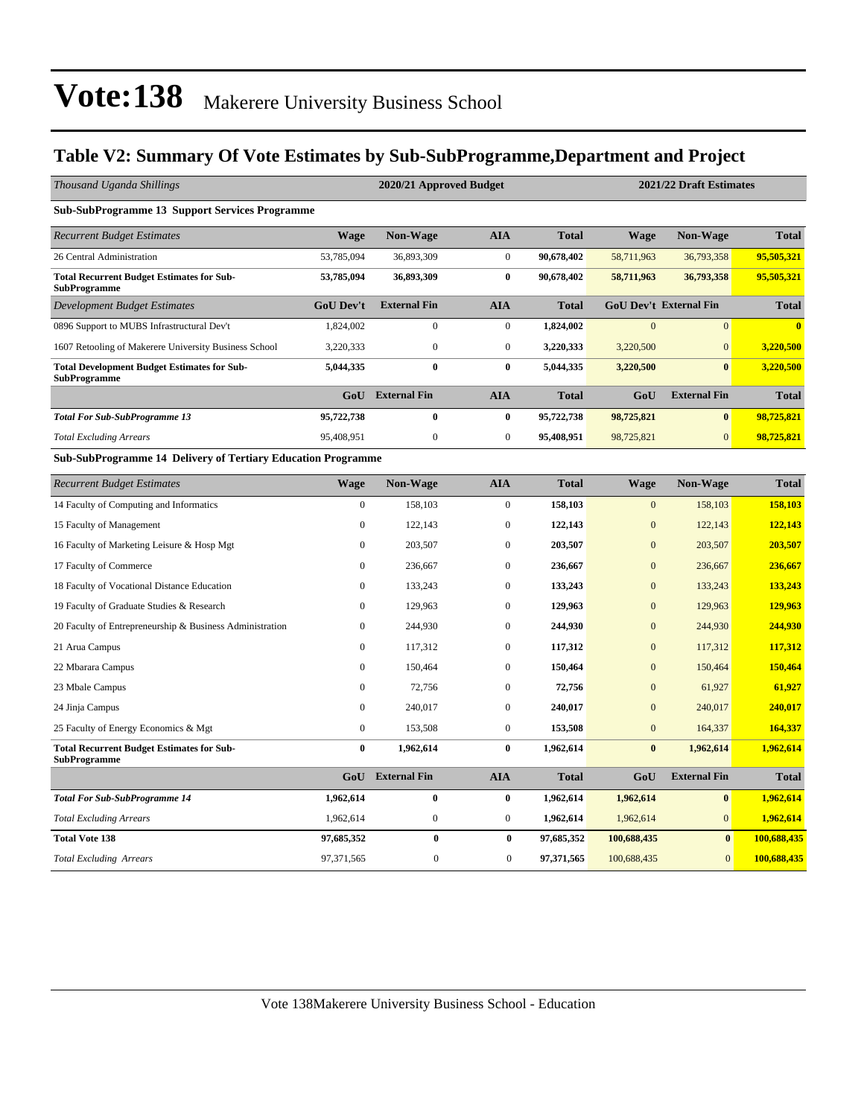### **Table V2: Summary Of Vote Estimates by Sub-SubProgramme,Department and Project**

| Thousand Uganda Shillings                                                 | 2020/21 Approved Budget<br>2021/22 Draft Estimates |                         |                  |              |                |                               |                         |
|---------------------------------------------------------------------------|----------------------------------------------------|-------------------------|------------------|--------------|----------------|-------------------------------|-------------------------|
| <b>Sub-SubProgramme 13 Support Services Programme</b>                     |                                                    |                         |                  |              |                |                               |                         |
| <b>Recurrent Budget Estimates</b>                                         | <b>Wage</b>                                        | Non-Wage                | <b>AIA</b>       | <b>Total</b> | Wage           | Non-Wage                      | <b>Total</b>            |
| 26 Central Administration                                                 | 53,785,094                                         | 36,893,309              | $\mathbf{0}$     | 90,678,402   | 58,711,963     | 36,793,358                    | 95,505,321              |
| <b>Total Recurrent Budget Estimates for Sub-</b><br><b>SubProgramme</b>   | 53,785,094                                         | 36,893,309              | $\bf{0}$         | 90,678,402   | 58,711,963     | 36,793,358                    | 95,505,321              |
| <b>Development Budget Estimates</b>                                       | <b>GoU Dev't</b>                                   | <b>External Fin</b>     | <b>AIA</b>       | <b>Total</b> |                | <b>GoU Dev't External Fin</b> | <b>Total</b>            |
| 0896 Support to MUBS Infrastructural Dev't                                | 1,824,002                                          | $\boldsymbol{0}$        | $\mathbf{0}$     | 1,824,002    | $\overline{0}$ | $\overline{0}$                | $\overline{\mathbf{0}}$ |
| 1607 Retooling of Makerere University Business School                     | 3,220,333                                          | $\boldsymbol{0}$        | $\mathbf{0}$     | 3,220,333    | 3,220,500      | $\Omega$                      | 3,220,500               |
| <b>Total Development Budget Estimates for Sub-</b><br><b>SubProgramme</b> | 5,044,335                                          | $\bf{0}$                | $\bf{0}$         | 5,044,335    | 3,220,500      | $\bf{0}$                      | 3,220,500               |
|                                                                           |                                                    | <b>GoU</b> External Fin | <b>AIA</b>       | <b>Total</b> | GoU            | <b>External Fin</b>           | <b>Total</b>            |
| <b>Total For Sub-SubProgramme 13</b>                                      | 95,722,738                                         | $\bf{0}$                | $\bf{0}$         | 95,722,738   | 98,725,821     | $\bf{0}$                      | 98,725,821              |
| <b>Total Excluding Arrears</b>                                            | 95,408,951                                         | $\mathbf{0}$            | $\mathbf{0}$     | 95,408,951   | 98,725,821     | $\overline{0}$                | 98,725,821              |
| Sub-SubProgramme 14 Delivery of Tertiary Education Programme              |                                                    |                         |                  |              |                |                               |                         |
| <b>Recurrent Budget Estimates</b>                                         | <b>Wage</b>                                        | Non-Wage                | <b>AIA</b>       | <b>Total</b> | <b>Wage</b>    | Non-Wage                      | <b>Total</b>            |
| 14 Faculty of Computing and Informatics                                   | $\mathbf{0}$                                       | 158,103                 | $\overline{0}$   | 158,103      | $\mathbf{0}$   | 158,103                       | 158,103                 |
| 15 Faculty of Management                                                  | $\mathbf{0}$                                       | 122,143                 | $\boldsymbol{0}$ | 122,143      | $\mathbf{0}$   | 122,143                       | 122,143                 |
| 16 Faculty of Marketing Leisure & Hosp Mgt                                | $\mathbf{0}$                                       | 203,507                 | $\mathbf{0}$     | 203,507      | $\mathbf{0}$   | 203,507                       | 203,507                 |
| 17 Faculty of Commerce                                                    | $\Omega$                                           | 236,667                 | $\mathbf{0}$     | 236,667      | $\overline{0}$ | 236,667                       | 236,667                 |
| 18 Faculty of Vocational Distance Education                               | $\Omega$                                           | 133,243                 | $\mathbf{0}$     | 133,243      | $\overline{0}$ | 133,243                       | 133,243                 |
| 19 Faculty of Graduate Studies & Research                                 | $\mathbf{0}$                                       | 129,963                 | $\mathbf{0}$     | 129,963      | $\mathbf{0}$   | 129,963                       | 129,963                 |
| 20 Faculty of Entrepreneurship & Business Administration                  | $\mathbf{0}$                                       | 244,930                 | $\mathbf{0}$     | 244,930      | $\overline{0}$ | 244,930                       | 244,930                 |
| 21 Arua Campus                                                            | $\Omega$                                           | 117,312                 | $\boldsymbol{0}$ | 117,312      | $\overline{0}$ | 117,312                       | 117,312                 |
| 22 Mbarara Campus                                                         | $\mathbf{0}$                                       | 150,464                 | $\mathbf{0}$     | 150,464      | $\mathbf{0}$   | 150,464                       | 150,464                 |
| 23 Mbale Campus                                                           | $\mathbf{0}$                                       | 72,756                  | $\mathbf{0}$     | 72,756       | $\overline{0}$ | 61,927                        | 61,927                  |
| 24 Jinja Campus                                                           | $\mathbf{0}$                                       | 240,017                 | $\boldsymbol{0}$ | 240,017      | $\mathbf{0}$   | 240,017                       | 240,017                 |
| 25 Faculty of Energy Economics & Mgt                                      | $\boldsymbol{0}$                                   | 153,508                 | $\boldsymbol{0}$ | 153,508      | $\mathbf{0}$   | 164,337                       | 164,337                 |

| <b>Total Recurrent Budget Estimates for Sub-</b><br>SubProgramme | 0          | 1.962.614           | $\bf{0}$     | 1.962.614    | $\bf{0}$    | 1.962.614           | 1.962.614    |
|------------------------------------------------------------------|------------|---------------------|--------------|--------------|-------------|---------------------|--------------|
|                                                                  | GoU        | <b>External Fin</b> | AIA          | <b>Total</b> | GoU         | <b>External Fin</b> | <b>Total</b> |
| <b>Total For Sub-SubProgramme 14</b>                             | 1.962.614  | 0                   | $\bf{0}$     | 1.962.614    | 1.962.614   | $\bf{0}$            | 1,962,614    |
| <b>Total Excluding Arrears</b>                                   | 1.962.614  |                     | $\mathbf{0}$ | 1.962.614    | 1.962.614   | $\overline{0}$      | 1,962,614    |
| <b>Total Vote 138</b>                                            | 97.685.352 |                     | 0            | 97.685.352   | 100,688,435 | $\mathbf{0}$        | 100,688,435  |
| <b>Total Excluding Arrears</b>                                   | 97.371.565 |                     |              | 97.371.565   | 100,688,435 | $\overline{0}$      | 100.688.435  |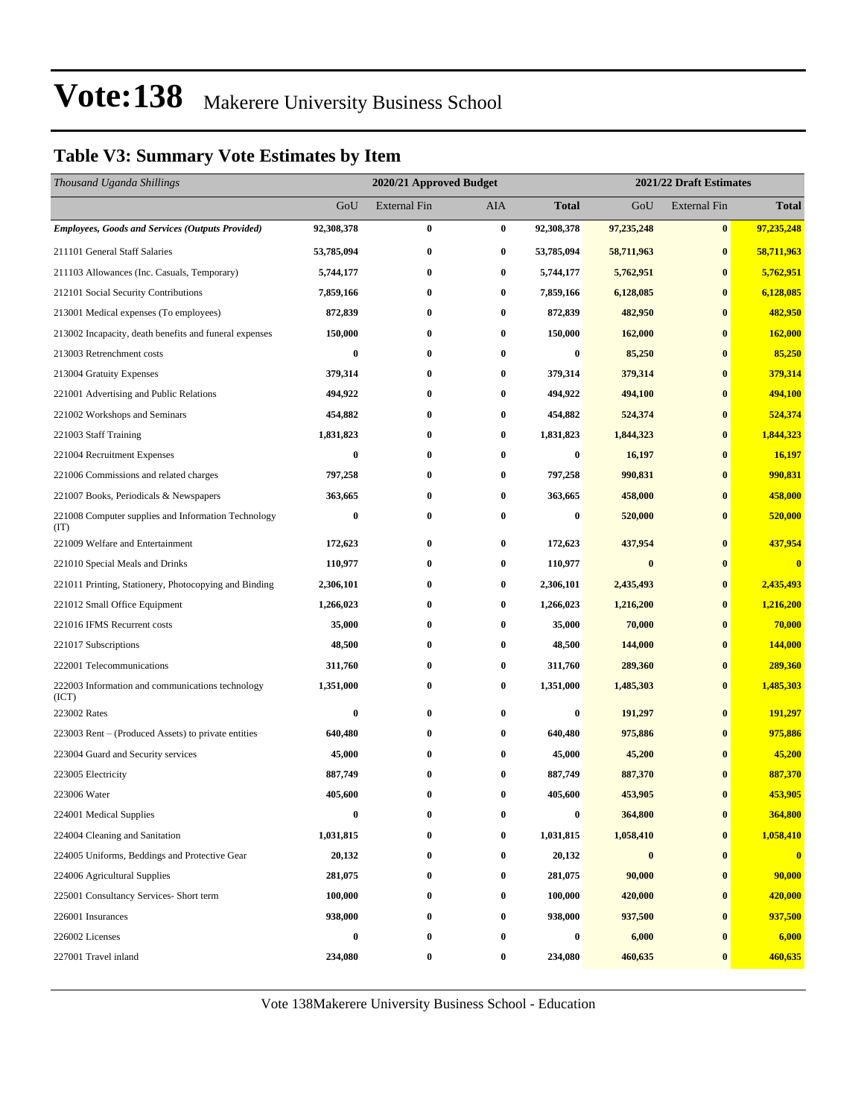### **Table V3: Summary Vote Estimates by Item**

| Thousand Uganda Shillings                                   |                  | 2020/21 Approved Budget<br>2021/22 Draft Estimates |                  |                  |            |                     |                         |
|-------------------------------------------------------------|------------------|----------------------------------------------------|------------------|------------------|------------|---------------------|-------------------------|
|                                                             | GoU              | <b>External Fin</b>                                | AIA              | <b>Total</b>     | GoU        | <b>External Fin</b> | <b>Total</b>            |
| <b>Employees, Goods and Services (Outputs Provided)</b>     | 92,308,378       | $\bf{0}$                                           | $\bf{0}$         | 92,308,378       | 97,235,248 | $\bf{0}$            | 97,235,248              |
| 211101 General Staff Salaries                               | 53,785,094       | $\bf{0}$                                           | 0                | 53,785,094       | 58,711,963 | $\bf{0}$            | 58,711,963              |
| 211103 Allowances (Inc. Casuals, Temporary)                 | 5,744,177        | $\bf{0}$                                           | $\bf{0}$         | 5,744,177        | 5,762,951  | $\bf{0}$            | 5,762,951               |
| 212101 Social Security Contributions                        | 7,859,166        | $\bf{0}$                                           | $\bf{0}$         | 7,859,166        | 6,128,085  | $\bf{0}$            | 6,128,085               |
| 213001 Medical expenses (To employees)                      | 872,839          | $\bf{0}$                                           | $\bf{0}$         | 872,839          | 482,950    | $\bf{0}$            | 482,950                 |
| 213002 Incapacity, death benefits and funeral expenses      | 150,000          | $\bf{0}$                                           | $\bf{0}$         | 150,000          | 162,000    | $\bf{0}$            | 162,000                 |
| 213003 Retrenchment costs                                   | $\bf{0}$         | $\bf{0}$                                           | $\bf{0}$         | 0                | 85,250     | $\bf{0}$            | 85,250                  |
| 213004 Gratuity Expenses                                    | 379,314          | $\bf{0}$                                           | $\bf{0}$         | 379,314          | 379,314    | $\bf{0}$            | 379,314                 |
| 221001 Advertising and Public Relations                     | 494,922          | $\bf{0}$                                           | $\bf{0}$         | 494,922          | 494,100    | $\bf{0}$            | 494,100                 |
| 221002 Workshops and Seminars                               | 454,882          | $\bf{0}$                                           | $\bf{0}$         | 454,882          | 524,374    | $\bf{0}$            | 524,374                 |
| 221003 Staff Training                                       | 1,831,823        | $\bf{0}$                                           | $\bf{0}$         | 1,831,823        | 1,844,323  | $\bf{0}$            | 1,844,323               |
| 221004 Recruitment Expenses                                 | $\bf{0}$         | $\bf{0}$                                           | $\bf{0}$         | $\boldsymbol{0}$ | 16,197     | $\bf{0}$            | 16,197                  |
| 221006 Commissions and related charges                      | 797,258          | $\bf{0}$                                           | $\bf{0}$         | 797,258          | 990,831    | $\bf{0}$            | 990,831                 |
| 221007 Books, Periodicals & Newspapers                      | 363,665          | $\bf{0}$                                           | $\bf{0}$         | 363,665          | 458,000    | $\bf{0}$            | 458,000                 |
| 221008 Computer supplies and Information Technology<br>(TT) | $\bf{0}$         | $\bf{0}$                                           | $\bf{0}$         | 0                | 520,000    | $\bf{0}$            | 520,000                 |
| 221009 Welfare and Entertainment                            | 172,623          | $\bf{0}$                                           | $\bf{0}$         | 172,623          | 437,954    | $\bf{0}$            | 437,954                 |
| 221010 Special Meals and Drinks                             | 110,977          | $\bf{0}$                                           | $\bf{0}$         | 110,977          | $\bf{0}$   | $\bf{0}$            | $\overline{\mathbf{0}}$ |
| 221011 Printing, Stationery, Photocopying and Binding       | 2,306,101        | $\bf{0}$                                           | 0                | 2,306,101        | 2,435,493  | $\bf{0}$            | 2,435,493               |
| 221012 Small Office Equipment                               | 1,266,023        | $\bf{0}$                                           | $\bf{0}$         | 1,266,023        | 1,216,200  | $\bf{0}$            | 1,216,200               |
| 221016 IFMS Recurrent costs                                 | 35,000           | $\bf{0}$                                           | $\bf{0}$         | 35,000           | 70,000     | $\bf{0}$            | 70,000                  |
| 221017 Subscriptions                                        | 48,500           | $\bf{0}$                                           | $\bf{0}$         | 48,500           | 144,000    | $\bf{0}$            | 144,000                 |
| 222001 Telecommunications                                   | 311,760          | $\bf{0}$                                           | $\bf{0}$         | 311,760          | 289,360    | $\bf{0}$            | 289,360                 |
| 222003 Information and communications technology<br>(ICT)   | 1,351,000        | $\bf{0}$                                           | 0                | 1,351,000        | 1,485,303  | $\bf{0}$            | 1,485,303               |
| 223002 Rates                                                | $\bf{0}$         | $\bf{0}$                                           | 0                | 0                | 191,297    | $\bf{0}$            | 191,297                 |
| 223003 Rent - (Produced Assets) to private entities         | 640,480          | $\bf{0}$                                           | 0                | 640,480          | 975,886    | $\bf{0}$            | 975,886                 |
| 223004 Guard and Security services                          | 45,000           | $\bf{0}$                                           | 0                | 45,000           | 45,200     | $\bf{0}$            | 45,200                  |
| 223005 Electricity                                          | 887,749          | $\bf{0}$                                           | $\bf{0}$         | 887,749          | 887,370    | $\bf{0}$            | 887,370                 |
| 223006 Water                                                | 405,600          | $\bf{0}$                                           | $\bf{0}$         | 405,600          | 453,905    | $\bf{0}$            | 453,905                 |
| 224001 Medical Supplies                                     | $\boldsymbol{0}$ | $\bf{0}$                                           | $\bf{0}$         | $\boldsymbol{0}$ | 364,800    | $\boldsymbol{0}$    | 364,800                 |
| 224004 Cleaning and Sanitation                              | 1,031,815        | $\bf{0}$                                           | 0                | 1,031,815        | 1,058,410  | $\bf{0}$            | 1,058,410               |
| 224005 Uniforms, Beddings and Protective Gear               | 20,132           | $\boldsymbol{0}$                                   | $\boldsymbol{0}$ | 20,132           | $\bf{0}$   | $\bf{0}$            | $\mathbf{0}$            |
| 224006 Agricultural Supplies                                | 281,075          | $\bf{0}$                                           | $\boldsymbol{0}$ | 281,075          | 90,000     | $\bf{0}$            | 90,000                  |
| 225001 Consultancy Services- Short term                     | 100,000          | 0                                                  | $\bf{0}$         | 100,000          | 420,000    | $\bf{0}$            | 420,000                 |
| 226001 Insurances                                           | 938,000          | $\bf{0}$                                           | 0                | 938,000          | 937,500    | $\bf{0}$            | 937,500                 |
| 226002 Licenses                                             | $\bf{0}$         | $\bf{0}$                                           | $\bf{0}$         | $\boldsymbol{0}$ | 6,000      | $\bf{0}$            | 6,000                   |
| 227001 Travel inland                                        | 234,080          | $\bf{0}$                                           | 0                | 234,080          | 460,635    | $\bf{0}$            | 460,635                 |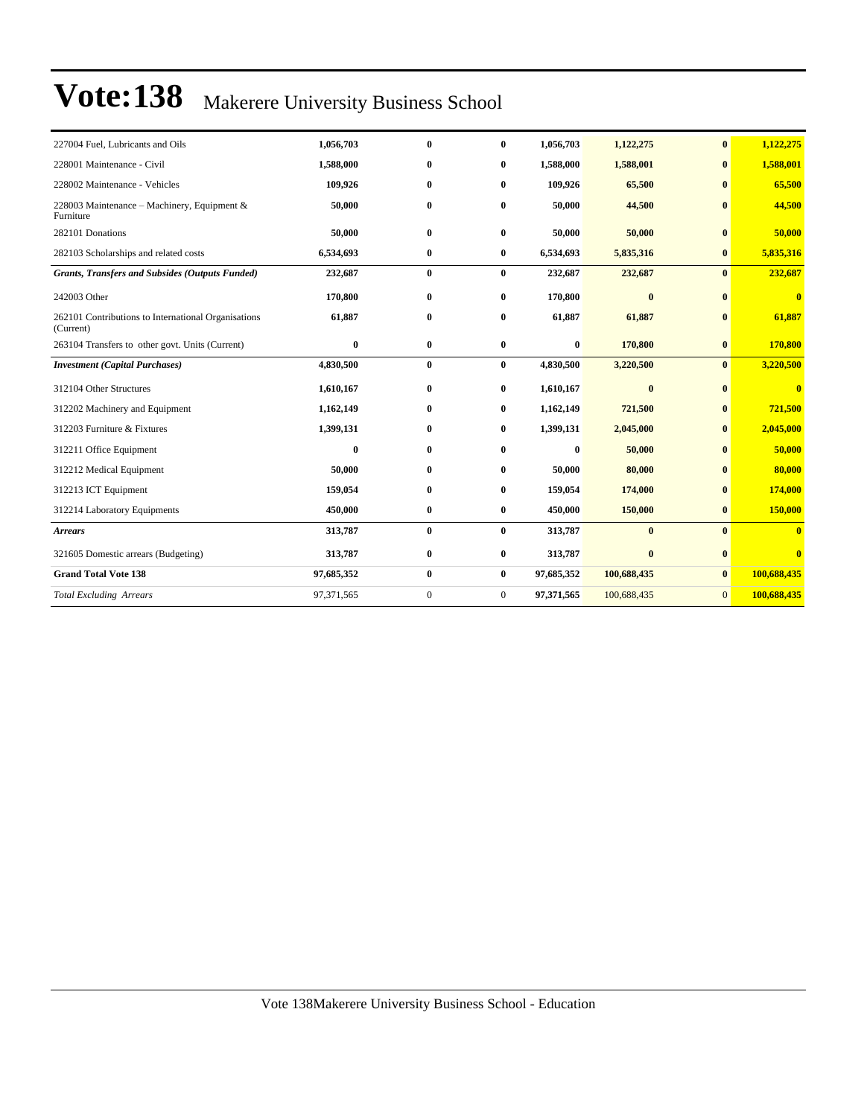| 227004 Fuel, Lubricants and Oils                                 | 1,056,703  | $\mathbf{0}$     | $\bf{0}$         | 1,056,703  | 1,122,275   | $\bf{0}$     | 1,122,275               |
|------------------------------------------------------------------|------------|------------------|------------------|------------|-------------|--------------|-------------------------|
| 228001 Maintenance - Civil                                       | 1,588,000  | $\bf{0}$         | 0                | 1,588,000  | 1,588,001   | $\bf{0}$     | 1,588,001               |
| 228002 Maintenance - Vehicles                                    | 109,926    | $\bf{0}$         | $\bf{0}$         | 109,926    | 65,500      | $\mathbf{0}$ | 65,500                  |
| 228003 Maintenance – Machinery, Equipment &<br>Furniture         | 50,000     | $\bf{0}$         | 0                | 50,000     | 44,500      | $\mathbf{0}$ | 44,500                  |
| 282101 Donations                                                 | 50,000     | $\bf{0}$         | $\bf{0}$         | 50,000     | 50,000      | $\bf{0}$     | 50,000                  |
| 282103 Scholarships and related costs                            | 6,534,693  | $\bf{0}$         | $\bf{0}$         | 6,534,693  | 5,835,316   | $\bf{0}$     | 5,835,316               |
| <b>Grants, Transfers and Subsides (Outputs Funded)</b>           | 232,687    | $\bf{0}$         | $\bf{0}$         | 232,687    | 232,687     | $\bf{0}$     | 232,687                 |
| 242003 Other                                                     | 170,800    | $\bf{0}$         | $\bf{0}$         | 170,800    | $\bf{0}$    | $\mathbf{0}$ | $\overline{\mathbf{0}}$ |
| 262101 Contributions to International Organisations<br>(Current) | 61,887     | $\bf{0}$         | 0                | 61,887     | 61,887      | $\mathbf{0}$ | 61,887                  |
| 263104 Transfers to other govt. Units (Current)                  | $\bf{0}$   | $\bf{0}$         | $\bf{0}$         | $\bf{0}$   | 170,800     | $\bf{0}$     | 170,800                 |
| <b>Investment</b> (Capital Purchases)                            | 4,830,500  | $\bf{0}$         | $\bf{0}$         | 4,830,500  | 3,220,500   | $\bf{0}$     | 3,220,500               |
| 312104 Other Structures                                          | 1,610,167  | $\bf{0}$         | $\bf{0}$         | 1,610,167  | $\bf{0}$    | $\bf{0}$     | $\bf{0}$                |
| 312202 Machinery and Equipment                                   | 1,162,149  | $\bf{0}$         | 0                | 1,162,149  | 721,500     | $\bf{0}$     | 721,500                 |
| 312203 Furniture & Fixtures                                      | 1,399,131  | $\bf{0}$         | $\bf{0}$         | 1,399,131  | 2,045,000   | $\bf{0}$     | 2,045,000               |
| 312211 Office Equipment                                          | $\bf{0}$   | $\bf{0}$         | 0                | $\bf{0}$   | 50,000      | $\bf{0}$     | 50,000                  |
| 312212 Medical Equipment                                         | 50,000     | $\bf{0}$         | $\bf{0}$         | 50,000     | 80,000      | $\mathbf{0}$ | 80,000                  |
| 312213 ICT Equipment                                             | 159,054    | $\bf{0}$         | $\bf{0}$         | 159,054    | 174,000     | $\mathbf{0}$ | 174,000                 |
| 312214 Laboratory Equipments                                     | 450,000    | $\bf{0}$         | $\bf{0}$         | 450,000    | 150,000     | $\bf{0}$     | 150,000                 |
| <b>Arrears</b>                                                   | 313,787    | $\bf{0}$         | $\bf{0}$         | 313,787    | $\bf{0}$    | $\mathbf{0}$ | $\bf{0}$                |
| 321605 Domestic arrears (Budgeting)                              | 313,787    | $\bf{0}$         | $\bf{0}$         | 313,787    | $\bf{0}$    | $\bf{0}$     | $\overline{\mathbf{0}}$ |
| <b>Grand Total Vote 138</b>                                      | 97,685,352 | $\bf{0}$         | $\bf{0}$         | 97,685,352 | 100,688,435 | $\bf{0}$     | 100,688,435             |
| <b>Total Excluding Arrears</b>                                   | 97,371,565 | $\boldsymbol{0}$ | $\boldsymbol{0}$ | 97,371,565 | 100,688,435 | $\mathbf{0}$ | 100,688,435             |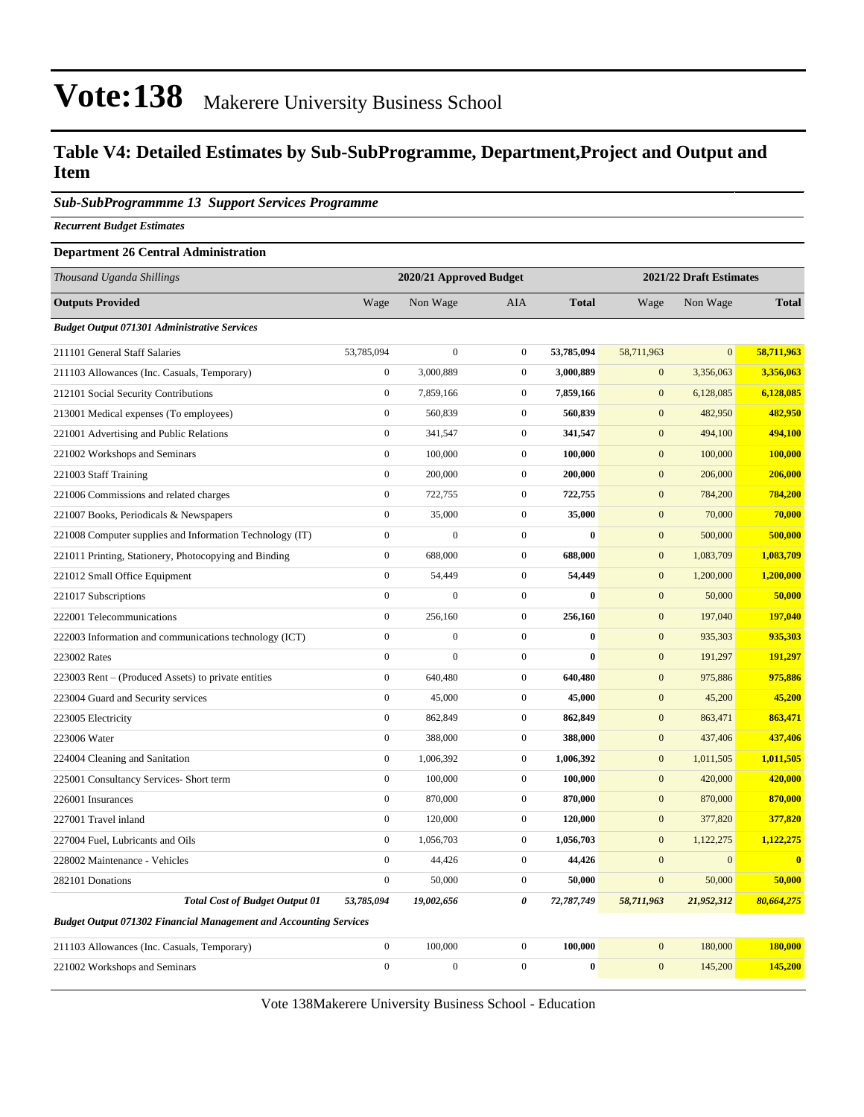### **Table V4: Detailed Estimates by Sub-SubProgramme, Department,Project and Output and Item**

#### *Sub-SubProgrammme 13 Support Services Programme*

*Recurrent Budget Estimates*

#### **Department 26 Central Administration**

| Thousand Uganda Shillings                                                |                  | 2020/21 Approved Budget |                  |              | 2021/22 Draft Estimates |                |                         |  |
|--------------------------------------------------------------------------|------------------|-------------------------|------------------|--------------|-------------------------|----------------|-------------------------|--|
| <b>Outputs Provided</b>                                                  | Wage             | Non Wage                | AIA              | <b>Total</b> | Wage                    | Non Wage       | <b>Total</b>            |  |
| <b>Budget Output 071301 Administrative Services</b>                      |                  |                         |                  |              |                         |                |                         |  |
| 211101 General Staff Salaries                                            | 53,785,094       | $\boldsymbol{0}$        | $\boldsymbol{0}$ | 53,785,094   | 58,711,963              | $\overline{0}$ | 58,711,963              |  |
| 211103 Allowances (Inc. Casuals, Temporary)                              | $\boldsymbol{0}$ | 3,000,889               | $\overline{0}$   | 3,000,889    | $\boldsymbol{0}$        | 3,356,063      | 3,356,063               |  |
| 212101 Social Security Contributions                                     | $\boldsymbol{0}$ | 7,859,166               | $\overline{0}$   | 7,859,166    | $\mathbf{0}$            | 6,128,085      | 6,128,085               |  |
| 213001 Medical expenses (To employees)                                   | $\mathbf{0}$     | 560,839                 | $\overline{0}$   | 560,839      | $\boldsymbol{0}$        | 482,950        | 482,950                 |  |
| 221001 Advertising and Public Relations                                  | $\boldsymbol{0}$ | 341,547                 | $\overline{0}$   | 341,547      | $\mathbf{0}$            | 494,100        | 494,100                 |  |
| 221002 Workshops and Seminars                                            | $\mathbf{0}$     | 100,000                 | $\boldsymbol{0}$ | 100,000      | $\mathbf{0}$            | 100,000        | 100,000                 |  |
| 221003 Staff Training                                                    | $\boldsymbol{0}$ | 200,000                 | $\overline{0}$   | 200,000      | $\boldsymbol{0}$        | 206,000        | 206,000                 |  |
| 221006 Commissions and related charges                                   | $\mathbf{0}$     | 722,755                 | $\boldsymbol{0}$ | 722,755      | $\boldsymbol{0}$        | 784,200        | 784,200                 |  |
| 221007 Books, Periodicals & Newspapers                                   | $\mathbf{0}$     | 35,000                  | $\boldsymbol{0}$ | 35,000       | $\boldsymbol{0}$        | 70,000         | 70,000                  |  |
| 221008 Computer supplies and Information Technology (IT)                 | $\boldsymbol{0}$ | $\boldsymbol{0}$        | $\boldsymbol{0}$ | $\bf{0}$     | $\boldsymbol{0}$        | 500,000        | 500,000                 |  |
| 221011 Printing, Stationery, Photocopying and Binding                    | $\mathbf{0}$     | 688,000                 | $\overline{0}$   | 688,000      | $\mathbf{0}$            | 1,083,709      | 1,083,709               |  |
| 221012 Small Office Equipment                                            | $\boldsymbol{0}$ | 54,449                  | $\overline{0}$   | 54,449       | $\boldsymbol{0}$        | 1,200,000      | 1,200,000               |  |
| 221017 Subscriptions                                                     | $\boldsymbol{0}$ | $\boldsymbol{0}$        | $\overline{0}$   | $\bf{0}$     | $\mathbf{0}$            | 50,000         | 50,000                  |  |
| 222001 Telecommunications                                                | $\boldsymbol{0}$ | 256,160                 | $\overline{0}$   | 256,160      | $\mathbf{0}$            | 197,040        | 197,040                 |  |
| 222003 Information and communications technology (ICT)                   | $\boldsymbol{0}$ | $\boldsymbol{0}$        | $\boldsymbol{0}$ | $\bf{0}$     | $\boldsymbol{0}$        | 935,303        | 935,303                 |  |
| 223002 Rates                                                             | $\mathbf{0}$     | $\overline{0}$          | $\mathbf{0}$     | $\mathbf{0}$ | $\boldsymbol{0}$        | 191,297        | 191,297                 |  |
| 223003 Rent - (Produced Assets) to private entities                      | $\boldsymbol{0}$ | 640,480                 | $\overline{0}$   | 640,480      | $\boldsymbol{0}$        | 975,886        | 975,886                 |  |
| 223004 Guard and Security services                                       | $\mathbf{0}$     | 45,000                  | $\overline{0}$   | 45,000       | $\boldsymbol{0}$        | 45,200         | 45,200                  |  |
| 223005 Electricity                                                       | $\mathbf{0}$     | 862,849                 | $\overline{0}$   | 862,849      | $\mathbf{0}$            | 863,471        | 863,471                 |  |
| 223006 Water                                                             | $\boldsymbol{0}$ | 388,000                 | $\overline{0}$   | 388,000      | $\boldsymbol{0}$        | 437,406        | 437,406                 |  |
| 224004 Cleaning and Sanitation                                           | $\mathbf{0}$     | 1,006,392               | $\boldsymbol{0}$ | 1,006,392    | $\mathbf{0}$            | 1,011,505      | 1,011,505               |  |
| 225001 Consultancy Services- Short term                                  | $\mathbf{0}$     | 100,000                 | $\boldsymbol{0}$ | 100,000      | $\mathbf{0}$            | 420,000        | 420,000                 |  |
| 226001 Insurances                                                        | $\boldsymbol{0}$ | 870,000                 | $\overline{0}$   | 870,000      | $\mathbf{0}$            | 870,000        | 870,000                 |  |
| 227001 Travel inland                                                     | $\mathbf{0}$     | 120,000                 | $\mathbf{0}$     | 120,000      | $\boldsymbol{0}$        | 377,820        | 377,820                 |  |
| 227004 Fuel, Lubricants and Oils                                         | $\boldsymbol{0}$ | 1,056,703               | $\overline{0}$   | 1,056,703    | $\boldsymbol{0}$        | 1,122,275      | 1,122,275               |  |
| 228002 Maintenance - Vehicles                                            | $\boldsymbol{0}$ | 44,426                  | $\boldsymbol{0}$ | 44,426       | $\mathbf{0}$            | $\mathbf{0}$   | $\overline{\mathbf{0}}$ |  |
| 282101 Donations                                                         | $\mathbf{0}$     | 50,000                  | $\overline{0}$   | 50,000       | $\mathbf{0}$            | 50,000         | 50,000                  |  |
| <b>Total Cost of Budget Output 01</b>                                    | 53,785,094       | 19,002,656              | 0                | 72,787,749   | 58,711,963              | 21,952,312     | 80,664,275              |  |
| <b>Budget Output 071302 Financial Management and Accounting Services</b> |                  |                         |                  |              |                         |                |                         |  |
| 211103 Allowances (Inc. Casuals, Temporary)                              | $\boldsymbol{0}$ | 100,000                 | $\boldsymbol{0}$ | 100,000      | $\mathbf{0}$            | 180,000        | 180,000                 |  |
| 221002 Workshops and Seminars                                            | $\mathbf{0}$     | $\overline{0}$          | $\overline{0}$   | $\bf{0}$     | $\mathbf{0}$            | 145,200        | 145,200                 |  |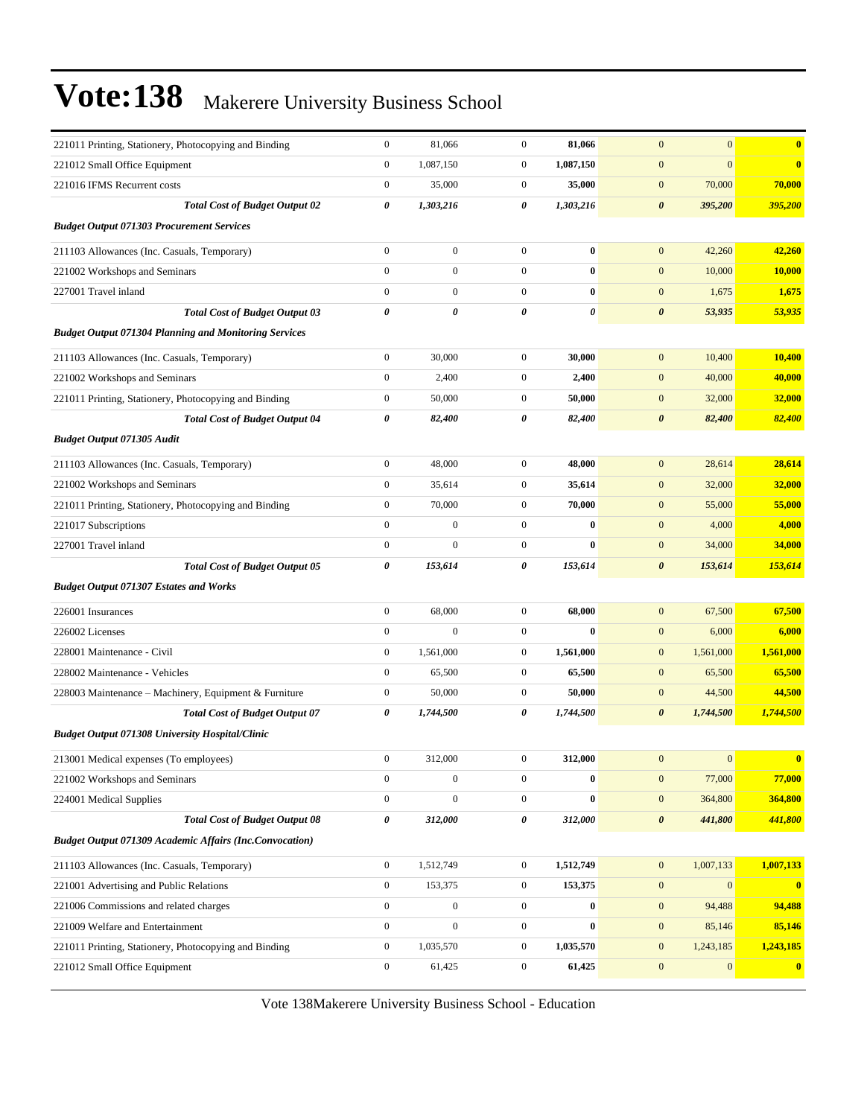| 221011 Printing, Stationery, Photocopying and Binding          | $\boldsymbol{0}$ | 81,066           | $\boldsymbol{0}$ | 81,066    | $\mathbf{0}$<br>$\mathbf{0}$       | $\bf{0}$     |
|----------------------------------------------------------------|------------------|------------------|------------------|-----------|------------------------------------|--------------|
| 221012 Small Office Equipment                                  | $\boldsymbol{0}$ | 1,087,150        | $\boldsymbol{0}$ | 1,087,150 | $\mathbf{0}$<br>$\boldsymbol{0}$   | $\bf{0}$     |
| 221016 IFMS Recurrent costs                                    | $\boldsymbol{0}$ | 35,000           | $\boldsymbol{0}$ | 35,000    | $\mathbf{0}$<br>70,000             | 70,000       |
| <b>Total Cost of Budget Output 02</b>                          | $\pmb{\theta}$   | 1,303,216        | 0                | 1,303,216 | $\boldsymbol{\theta}$<br>395,200   | 395,200      |
| <b>Budget Output 071303 Procurement Services</b>               |                  |                  |                  |           |                                    |              |
| 211103 Allowances (Inc. Casuals, Temporary)                    | $\boldsymbol{0}$ | $\boldsymbol{0}$ | $\boldsymbol{0}$ | $\bf{0}$  | $\mathbf{0}$<br>42,260             | 42,260       |
| 221002 Workshops and Seminars                                  | $\boldsymbol{0}$ | $\boldsymbol{0}$ | $\boldsymbol{0}$ | $\bf{0}$  | 10,000<br>$\mathbf{0}$             | 10,000       |
| 227001 Travel inland                                           | $\boldsymbol{0}$ | $\boldsymbol{0}$ | $\boldsymbol{0}$ | $\bf{0}$  | $\mathbf{0}$<br>1,675              | 1,675        |
| <b>Total Cost of Budget Output 03</b>                          | 0                | 0                | 0                | 0         | $\pmb{\theta}$<br>53,935           | 53,935       |
| <b>Budget Output 071304 Planning and Monitoring Services</b>   |                  |                  |                  |           |                                    |              |
| 211103 Allowances (Inc. Casuals, Temporary)                    | $\boldsymbol{0}$ | 30,000           | $\boldsymbol{0}$ | 30,000    | $\mathbf{0}$<br>10,400             | 10,400       |
| 221002 Workshops and Seminars                                  | $\boldsymbol{0}$ | 2,400            | $\boldsymbol{0}$ | 2,400     | $\mathbf{0}$<br>40,000             | 40,000       |
| 221011 Printing, Stationery, Photocopying and Binding          | $\boldsymbol{0}$ | 50,000           | $\boldsymbol{0}$ | 50,000    | $\mathbf{0}$<br>32,000             | 32,000       |
| <b>Total Cost of Budget Output 04</b>                          | 0                | 82,400           | 0                | 82,400    | $\boldsymbol{\theta}$<br>82,400    | 82,400       |
| <b>Budget Output 071305 Audit</b>                              |                  |                  |                  |           |                                    |              |
| 211103 Allowances (Inc. Casuals, Temporary)                    | $\boldsymbol{0}$ | 48,000           | $\boldsymbol{0}$ | 48,000    | $\mathbf{0}$<br>28,614             | 28,614       |
| 221002 Workshops and Seminars                                  | $\boldsymbol{0}$ | 35,614           | $\boldsymbol{0}$ | 35,614    | $\mathbf{0}$<br>32,000             | 32,000       |
| 221011 Printing, Stationery, Photocopying and Binding          | $\boldsymbol{0}$ | 70,000           | $\boldsymbol{0}$ | 70,000    | 55,000<br>$\bf{0}$                 | 55,000       |
| 221017 Subscriptions                                           | $\boldsymbol{0}$ | $\boldsymbol{0}$ | $\boldsymbol{0}$ | $\bf{0}$  | $\mathbf{0}$<br>4,000              | 4,000        |
| 227001 Travel inland                                           | $\boldsymbol{0}$ | $\boldsymbol{0}$ | $\boldsymbol{0}$ | $\bf{0}$  | $\mathbf{0}$<br>34,000             | 34,000       |
| <b>Total Cost of Budget Output 05</b>                          | 0                | 153,614          | 0                | 153,614   | $\boldsymbol{\theta}$<br>153,614   | 153,614      |
| <b>Budget Output 071307 Estates and Works</b>                  |                  |                  |                  |           |                                    |              |
| 226001 Insurances                                              | $\boldsymbol{0}$ | 68,000           | $\boldsymbol{0}$ | 68,000    | $\mathbf{0}$<br>67,500             | 67,500       |
| 226002 Licenses                                                | $\boldsymbol{0}$ | $\boldsymbol{0}$ | $\boldsymbol{0}$ | $\bf{0}$  | $\mathbf{0}$<br>6,000              | 6,000        |
| 228001 Maintenance - Civil                                     | $\boldsymbol{0}$ | 1,561,000        | $\boldsymbol{0}$ | 1,561,000 | $\mathbf{0}$<br>1,561,000          | 1,561,000    |
| 228002 Maintenance - Vehicles                                  | $\boldsymbol{0}$ | 65,500           | $\boldsymbol{0}$ | 65,500    | 65,500<br>$\bf{0}$                 | 65,500       |
| 228003 Maintenance - Machinery, Equipment & Furniture          | $\boldsymbol{0}$ | 50,000           | $\boldsymbol{0}$ | 50,000    | $\mathbf{0}$<br>44,500             | 44,500       |
| <b>Total Cost of Budget Output 07</b>                          | 0                | 1,744,500        | 0                | 1,744,500 | $\boldsymbol{\theta}$<br>1,744,500 | 1,744,500    |
| <b>Budget Output 071308 University Hospital/Clinic</b>         |                  |                  |                  |           |                                    |              |
| 213001 Medical expenses (To employees)                         | $\boldsymbol{0}$ | 312,000          | $\boldsymbol{0}$ | 312,000   | $\mathbf{0}$<br>$\mathbf{0}$       | $\bf{0}$     |
| 221002 Workshops and Seminars                                  | $\boldsymbol{0}$ | $\boldsymbol{0}$ | $\boldsymbol{0}$ | $\bf{0}$  | 77,000<br>$\boldsymbol{0}$         | 77,000       |
| 224001 Medical Supplies                                        | $\boldsymbol{0}$ | $\boldsymbol{0}$ | $\boldsymbol{0}$ | $\bf{0}$  | 364,800<br>$\mathbf{0}$            | 364,800      |
| <b>Total Cost of Budget Output 08</b>                          | 0                | 312,000          | 0                | 312,000   | $\boldsymbol{\theta}$<br>441,800   | 441,800      |
| <b>Budget Output 071309 Academic Affairs (Inc.Convocation)</b> |                  |                  |                  |           |                                    |              |
| 211103 Allowances (Inc. Casuals, Temporary)                    | $\mathbf{0}$     | 1,512,749        | $\boldsymbol{0}$ | 1,512,749 | 1,007,133<br>$\mathbf{0}$          | 1,007,133    |
| 221001 Advertising and Public Relations                        | $\boldsymbol{0}$ | 153,375          | $\boldsymbol{0}$ | 153,375   | $\mathbf{0}$<br>$\mathbf{0}$       | $\mathbf{0}$ |
| 221006 Commissions and related charges                         | $\overline{0}$   | $\boldsymbol{0}$ | $\boldsymbol{0}$ | $\bf{0}$  | 94,488<br>$\mathbf{0}$             | 94,488       |
| 221009 Welfare and Entertainment                               | $\mathbf{0}$     | $\boldsymbol{0}$ | $\boldsymbol{0}$ | $\bf{0}$  | $\mathbf{0}$<br>85,146             | 85,146       |
| 221011 Printing, Stationery, Photocopying and Binding          | $\boldsymbol{0}$ | 1,035,570        | $\boldsymbol{0}$ | 1,035,570 | 1,243,185<br>$\mathbf{0}$          | 1,243,185    |
| 221012 Small Office Equipment                                  | $\boldsymbol{0}$ | 61,425           | $\boldsymbol{0}$ | 61,425    | $\mathbf{0}$<br>$\mathbf{0}$       | $\bf{0}$     |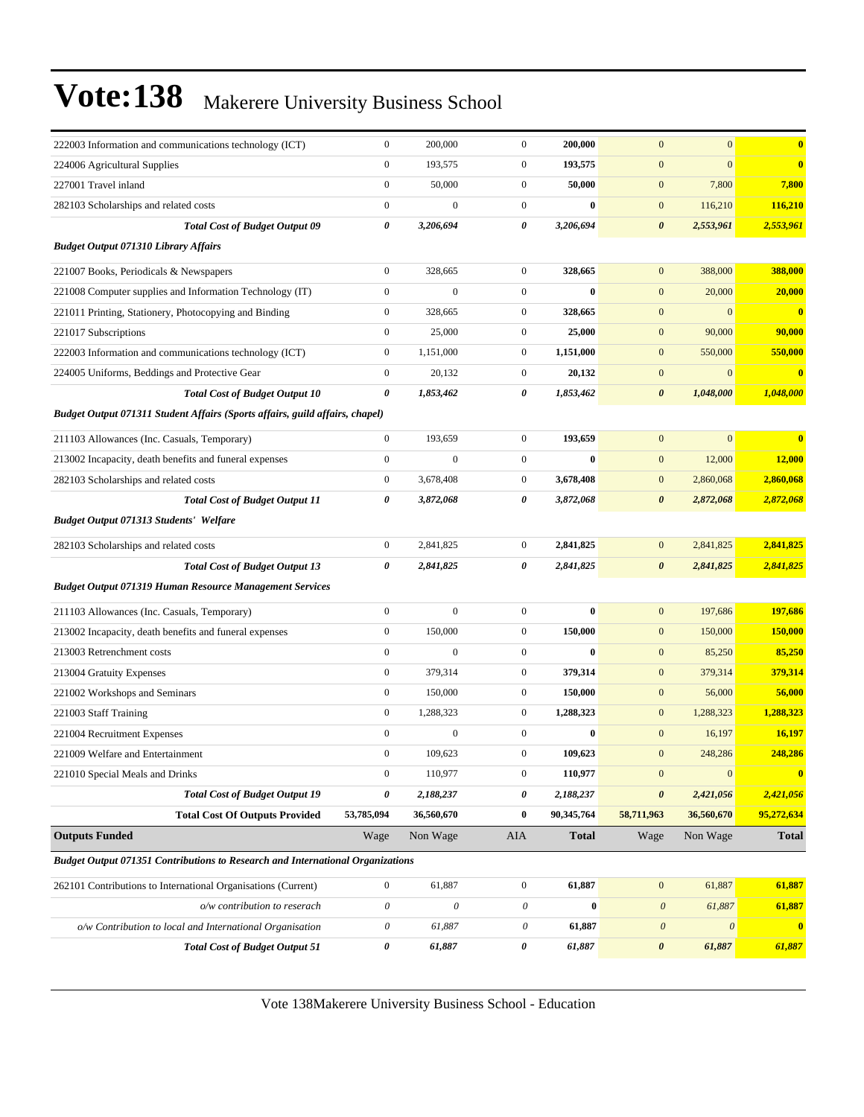| 222003 Information and communications technology (ICT)                                | $\boldsymbol{0}$          | 200,000                   | $\mathbf{0}$          | 200,000          | $\boldsymbol{0}$      | $\mathbf{0}$              | $\bf{0}$                |
|---------------------------------------------------------------------------------------|---------------------------|---------------------------|-----------------------|------------------|-----------------------|---------------------------|-------------------------|
| 224006 Agricultural Supplies                                                          | $\boldsymbol{0}$          | 193,575                   | $\mathbf{0}$          | 193,575          | $\boldsymbol{0}$      | $\overline{0}$            | $\bf{0}$                |
| 227001 Travel inland                                                                  | $\boldsymbol{0}$          | 50,000                    | $\mathbf{0}$          | 50,000           | $\boldsymbol{0}$      | 7,800                     | 7,800                   |
| 282103 Scholarships and related costs                                                 | $\boldsymbol{0}$          | $\boldsymbol{0}$          | $\mathbf{0}$          | $\bf{0}$         | $\boldsymbol{0}$      | 116,210                   | 116,210                 |
| <b>Total Cost of Budget Output 09</b>                                                 | $\pmb{\theta}$            | 3,206,694                 | $\boldsymbol{\theta}$ | 3,206,694        | $\pmb{\theta}$        | 2,553,961                 | 2,553,961               |
| <b>Budget Output 071310 Library Affairs</b>                                           |                           |                           |                       |                  |                       |                           |                         |
| 221007 Books, Periodicals & Newspapers                                                | $\boldsymbol{0}$          | 328,665                   | $\mathbf{0}$          | 328,665          | $\boldsymbol{0}$      | 388,000                   | 388,000                 |
| 221008 Computer supplies and Information Technology (IT)                              | $\boldsymbol{0}$          | $\mathbf{0}$              | $\mathbf{0}$          | $\bf{0}$         | $\boldsymbol{0}$      | 20,000                    | 20,000                  |
| 221011 Printing, Stationery, Photocopying and Binding                                 | $\boldsymbol{0}$          | 328,665                   | $\mathbf{0}$          | 328,665          | $\boldsymbol{0}$      | $\overline{0}$            | $\overline{\mathbf{0}}$ |
| 221017 Subscriptions                                                                  | $\boldsymbol{0}$          | 25,000                    | $\mathbf{0}$          | 25,000           | $\boldsymbol{0}$      | 90,000                    | 90,000                  |
| 222003 Information and communications technology (ICT)                                | $\boldsymbol{0}$          | 1,151,000                 | $\boldsymbol{0}$      | 1,151,000        | $\boldsymbol{0}$      | 550,000                   | 550,000                 |
| 224005 Uniforms, Beddings and Protective Gear                                         | $\boldsymbol{0}$          | 20,132                    | $\mathbf{0}$          | 20,132           | $\boldsymbol{0}$      | $\mathbf{0}$              | $\bf{0}$                |
| <b>Total Cost of Budget Output 10</b>                                                 | 0                         | 1,853,462                 | 0                     | 1,853,462        | 0                     | 1,048,000                 | 1,048,000               |
| Budget Output 071311 Student Affairs (Sports affairs, guild affairs, chapel)          |                           |                           |                       |                  |                       |                           |                         |
| 211103 Allowances (Inc. Casuals, Temporary)                                           | $\boldsymbol{0}$          | 193,659                   | $\mathbf{0}$          | 193,659          | $\boldsymbol{0}$      | $\mathbf{0}$              | $\overline{\mathbf{0}}$ |
| 213002 Incapacity, death benefits and funeral expenses                                | $\boldsymbol{0}$          | $\mathbf{0}$              | $\mathbf{0}$          | $\bf{0}$         | $\boldsymbol{0}$      | 12,000                    | 12,000                  |
| 282103 Scholarships and related costs                                                 | $\boldsymbol{0}$          | 3,678,408                 | $\boldsymbol{0}$      | 3,678,408        | $\mathbf{0}$          | 2,860,068                 | 2,860,068               |
| <b>Total Cost of Budget Output 11</b>                                                 | 0                         | 3,872,068                 | 0                     | 3,872,068        | $\boldsymbol{\theta}$ | 2,872,068                 | 2,872,068               |
| <b>Budget Output 071313 Students' Welfare</b>                                         |                           |                           |                       |                  |                       |                           |                         |
| 282103 Scholarships and related costs                                                 | $\boldsymbol{0}$          | 2,841,825                 | $\mathbf{0}$          | 2,841,825        | $\mathbf{0}$          | 2,841,825                 | 2,841,825               |
| <b>Total Cost of Budget Output 13</b>                                                 | 0                         | 2,841,825                 | 0                     | 2,841,825        | $\boldsymbol{\theta}$ | 2,841,825                 | 2,841,825               |
| <b>Budget Output 071319 Human Resource Management Services</b>                        |                           |                           |                       |                  |                       |                           |                         |
| 211103 Allowances (Inc. Casuals, Temporary)                                           | $\boldsymbol{0}$          | $\mathbf{0}$              | $\mathbf{0}$          | $\bf{0}$         | $\boldsymbol{0}$      | 197,686                   | 197,686                 |
| 213002 Incapacity, death benefits and funeral expenses                                | $\boldsymbol{0}$          | 150,000                   | $\mathbf{0}$          | 150,000          | $\boldsymbol{0}$      | 150,000                   | 150,000                 |
| 213003 Retrenchment costs                                                             | $\boldsymbol{0}$          | $\mathbf{0}$              | $\mathbf{0}$          | $\bf{0}$         | $\mathbf{0}$          | 85,250                    | 85,250                  |
| 213004 Gratuity Expenses                                                              | $\boldsymbol{0}$          | 379,314                   | $\mathbf{0}$          | 379,314          | $\boldsymbol{0}$      | 379,314                   | 379,314                 |
| 221002 Workshops and Seminars                                                         | $\boldsymbol{0}$          | 150,000                   | $\mathbf{0}$          | 150,000          | $\boldsymbol{0}$      | 56,000                    | 56,000                  |
| 221003 Staff Training                                                                 | $\boldsymbol{0}$          | 1,288,323                 | $\mathbf{0}$          | 1,288,323        | $\mathbf{0}$          | 1,288,323                 | 1,288,323               |
| 221004 Recruitment Expenses                                                           | $\boldsymbol{0}$          | $\mathbf{0}$              | $\mathbf{0}$          | $\bf{0}$         | $\boldsymbol{0}$      | 16,197                    | 16,197                  |
| 221009 Welfare and Entertainment                                                      | $\boldsymbol{0}$          | 109,623                   | $\mathbf{0}$          | 109,623          | $\boldsymbol{0}$      | 248,286                   | 248,286                 |
| 221010 Special Meals and Drinks                                                       | $\boldsymbol{0}$          | 110,977                   | $\boldsymbol{0}$      | 110,977          | $\boldsymbol{0}$      | $\boldsymbol{0}$          | $\bf{0}$                |
| <b>Total Cost of Budget Output 19</b>                                                 | $\pmb{\theta}$            | 2,188,237                 | 0                     | 2,188,237        | $\pmb{\theta}$        | 2,421,056                 | 2,421,056               |
| <b>Total Cost Of Outputs Provided</b>                                                 | 53,785,094                | 36,560,670                | $\bf{0}$              | 90,345,764       | 58,711,963            | 36,560,670                | 95,272,634              |
| <b>Outputs Funded</b>                                                                 | Wage                      | Non Wage                  | AIA                   | <b>Total</b>     | Wage                  | Non Wage                  | <b>Total</b>            |
| <b>Budget Output 071351 Contributions to Research and International Organizations</b> |                           |                           |                       |                  |                       |                           |                         |
| 262101 Contributions to International Organisations (Current)                         | $\boldsymbol{0}$          | 61,887                    | $\boldsymbol{0}$      | 61,887           | $\boldsymbol{0}$      | 61,887                    | 61,887                  |
| o/w contribution to reserach                                                          | $\boldsymbol{\mathit{0}}$ | $\boldsymbol{\mathit{0}}$ | 0                     | $\boldsymbol{0}$ | $\boldsymbol{\theta}$ | 61,887                    | 61,887                  |
| o/w Contribution to local and International Organisation                              | $\boldsymbol{\mathit{0}}$ | 61,887                    | 0                     | 61,887           | $\boldsymbol{\theta}$ | $\boldsymbol{\mathit{0}}$ | $\mathbf{0}$            |
| <b>Total Cost of Budget Output 51</b>                                                 | $\pmb{\theta}$            | 61,887                    | 0                     | 61,887           | $\boldsymbol{\theta}$ | 61,887                    | 61,887                  |
|                                                                                       |                           |                           |                       |                  |                       |                           |                         |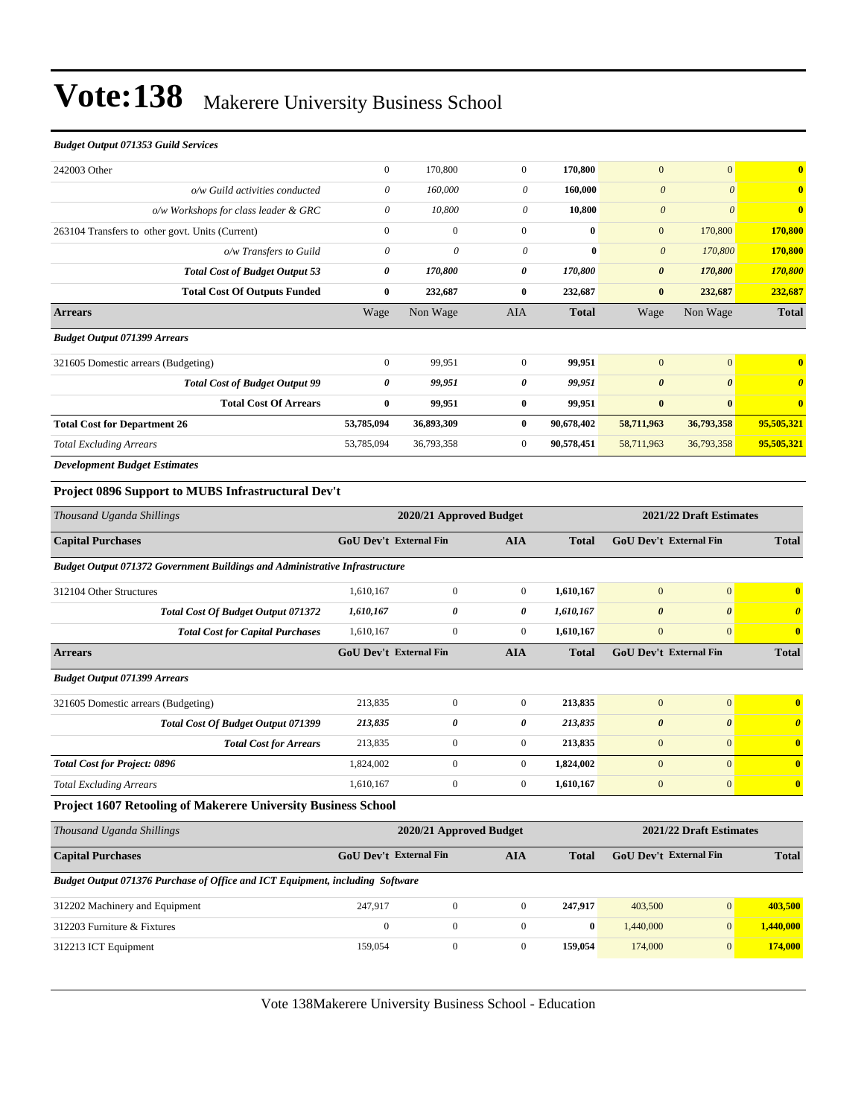#### *Budget Output 071353 Guild Services*

| 242003 Other                                    | $\boldsymbol{0}$ | 170,800      | $\mathbf{0}$   | 170,800      | $\mathbf{0}$          | $\Omega$   | $\overline{\mathbf{0}}$ |
|-------------------------------------------------|------------------|--------------|----------------|--------------|-----------------------|------------|-------------------------|
| o/w Guild activities conducted                  | 0                | 160,000      | 0              | 160,000      | $\theta$              | $\theta$   | $\overline{\mathbf{0}}$ |
| o/w Workshops for class leader & GRC            | $\theta$         | 10,800       | 0              | 10,800       | $\theta$              | $\theta$   | $\mathbf{0}$            |
| 263104 Transfers to other govt. Units (Current) | $\mathbf{0}$     | $\mathbf{0}$ | $\mathbf{0}$   | $\bf{0}$     | $\mathbf{0}$          | 170,800    | 170,800                 |
| o/w Transfers to Guild                          | $\theta$         | $\theta$     | $\theta$       | $\bf{0}$     | $\boldsymbol{\theta}$ | 170,800    | 170,800                 |
| <b>Total Cost of Budget Output 53</b>           | 0                | 170,800      | 0              | 170,800      | $\boldsymbol{\theta}$ | 170,800    | 170,800                 |
| <b>Total Cost Of Outputs Funded</b>             | $\bf{0}$         | 232,687      | $\bf{0}$       | 232,687      | $\bf{0}$              | 232,687    | 232,687                 |
| <b>Arrears</b>                                  | Wage             | Non Wage     | <b>AIA</b>     | <b>Total</b> | Wage                  | Non Wage   | <b>Total</b>            |
| <b>Budget Output 071399 Arrears</b>             |                  |              |                |              |                       |            |                         |
| 321605 Domestic arrears (Budgeting)             | $\mathbf{0}$     | 99,951       | $\mathbf{0}$   | 99,951       | $\mathbf{0}$          | $\Omega$   | $\mathbf{0}$            |
| <b>Total Cost of Budget Output 99</b>           | 0                | 99,951       | 0              | 99,951       | $\boldsymbol{\theta}$ | $\theta$   | $\boldsymbol{\theta}$   |
| <b>Total Cost Of Arrears</b>                    | $\bf{0}$         | 99,951       | $\bf{0}$       | 99,951       | $\bf{0}$              | $\bf{0}$   | $\mathbf{0}$            |
| <b>Total Cost for Department 26</b>             | 53,785,094       | 36,893,309   | $\bf{0}$       | 90,678,402   | 58,711,963            | 36,793,358 | 95,505,321              |
| <b>Total Excluding Arrears</b>                  | 53,785,094       | 36,793,358   | $\overline{0}$ | 90,578,451   | 58,711,963            | 36,793,358 | 95,505,321              |
| $\mathbf{r}$ is the state of $\mathbf{r}$       |                  |              |                |              |                       |            |                         |

*Development Budget Estimates*

#### **Project 0896 Support to MUBS Infrastructural Dev't**

| Thousand Uganda Shillings                                                                                                                                                                                                                                                                                                                                                 |                                                             | 2020/21 Approved Budget |                               |              |                               | 2021/22 Draft Estimates |                         |  |  |
|---------------------------------------------------------------------------------------------------------------------------------------------------------------------------------------------------------------------------------------------------------------------------------------------------------------------------------------------------------------------------|-------------------------------------------------------------|-------------------------|-------------------------------|--------------|-------------------------------|-------------------------|-------------------------|--|--|
| <b>Capital Purchases</b>                                                                                                                                                                                                                                                                                                                                                  | <b>GoU Dev't External Fin</b>                               |                         | <b>AIA</b>                    | <b>Total</b> | <b>GoU Dev't External Fin</b> |                         | <b>Total</b>            |  |  |
| <b>Budget Output 071372 Government Buildings and Administrative Infrastructure</b>                                                                                                                                                                                                                                                                                        |                                                             |                         |                               |              |                               |                         |                         |  |  |
| 312104 Other Structures                                                                                                                                                                                                                                                                                                                                                   | 1,610,167                                                   | $\mathbf{0}$            | $\overline{0}$                | 1,610,167    | $\mathbf{0}$                  | $\mathbf{0}$            | $\overline{\mathbf{0}}$ |  |  |
| <b>Total Cost Of Budget Output 071372</b>                                                                                                                                                                                                                                                                                                                                 | 1,610,167                                                   | 0                       | 0                             | 1,610,167    | $\boldsymbol{\theta}$         | $\boldsymbol{\theta}$   | $\boldsymbol{\theta}$   |  |  |
| <b>Total Cost for Capital Purchases</b>                                                                                                                                                                                                                                                                                                                                   | 1,610,167                                                   | $\mathbf{0}$            | $\mathbf{0}$                  | 1,610,167    | $\mathbf{0}$                  | $\overline{0}$          | $\mathbf{0}$            |  |  |
| <b>Arrears</b>                                                                                                                                                                                                                                                                                                                                                            | <b>GoU Dev't External Fin</b><br><b>AIA</b><br><b>Total</b> |                         | <b>GoU Dev't External Fin</b> |              | <b>Total</b>                  |                         |                         |  |  |
| <b>Budget Output 071399 Arrears</b>                                                                                                                                                                                                                                                                                                                                       |                                                             |                         |                               |              |                               |                         |                         |  |  |
| 321605 Domestic arrears (Budgeting)                                                                                                                                                                                                                                                                                                                                       | 213,835                                                     | $\mathbf{0}$            | $\overline{0}$                | 213,835      | $\mathbf{0}$                  | $\mathbf{0}$            | $\overline{\mathbf{0}}$ |  |  |
| <b>Total Cost Of Budget Output 071399</b>                                                                                                                                                                                                                                                                                                                                 | 213,835                                                     | 0                       | 0                             | 213,835      | $\boldsymbol{\theta}$         | $\boldsymbol{\theta}$   | $\theta$                |  |  |
| <b>Total Cost for Arrears</b>                                                                                                                                                                                                                                                                                                                                             | 213,835                                                     | $\mathbf{0}$            | $\overline{0}$                | 213,835      | $\mathbf{0}$                  | $\overline{0}$          | $\mathbf{0}$            |  |  |
| <b>Total Cost for Project: 0896</b>                                                                                                                                                                                                                                                                                                                                       | 1,824,002                                                   | $\mathbf{0}$            | $\overline{0}$                | 1,824,002    | $\mathbf{0}$                  | $\overline{0}$          | $\mathbf{0}$            |  |  |
| <b>Total Excluding Arrears</b>                                                                                                                                                                                                                                                                                                                                            | 1,610,167                                                   | $\mathbf{0}$            | $\overline{0}$                | 1,610,167    | $\mathbf{0}$                  | $\mathbf{0}$            | $\bf{0}$                |  |  |
| $\mathbf{r}$ $\mathbf{r}$ $\mathbf{r}$ $\mathbf{r}$ $\mathbf{r}$ $\mathbf{r}$ $\mathbf{r}$ $\mathbf{r}$ $\mathbf{r}$ $\mathbf{r}$ $\mathbf{r}$ $\mathbf{r}$ $\mathbf{r}$ $\mathbf{r}$ $\mathbf{r}$ $\mathbf{r}$ $\mathbf{r}$ $\mathbf{r}$ $\mathbf{r}$ $\mathbf{r}$ $\mathbf{r}$ $\mathbf{r}$ $\mathbf{r}$ $\mathbf{r}$ $\mathbf{$<br>0.75.7<br>$-1$<br>$\cdots$ $\cdots$ | $\sim$ $\sim$ $\sim$                                        |                         |                               |              |                               |                         |                         |  |  |

#### **Project 1607 Retooling of Makerere University Business School**

| Thousand Uganda Shillings                                                            |                               | 2021/22 Draft Estimates<br>2020/21 Approved Budget |          |              |                        |                |              |
|--------------------------------------------------------------------------------------|-------------------------------|----------------------------------------------------|----------|--------------|------------------------|----------------|--------------|
| <b>Capital Purchases</b>                                                             | <b>GoU</b> Dev't External Fin |                                                    | AIA      | <b>Total</b> | GoU Dev't External Fin |                | <b>Total</b> |
| <b>Budget Output 071376 Purchase of Office and ICT Equipment, including Software</b> |                               |                                                    |          |              |                        |                |              |
| 312202 Machinery and Equipment                                                       | 247.917                       | $\mathbf{0}$                                       | $\theta$ | 247.917      | 403,500                | $\overline{0}$ | 403,500      |
| 312203 Furniture & Fixtures                                                          | $\mathbf{0}$                  | $\mathbf{0}$                                       | $\theta$ | $\mathbf{0}$ | 1,440,000              | $\overline{0}$ | 1,440,000    |
| 312213 ICT Equipment                                                                 | 159.054                       | $\mathbf{0}$                                       | $\Omega$ | 159,054      | 174,000                | $\overline{0}$ | 174,000      |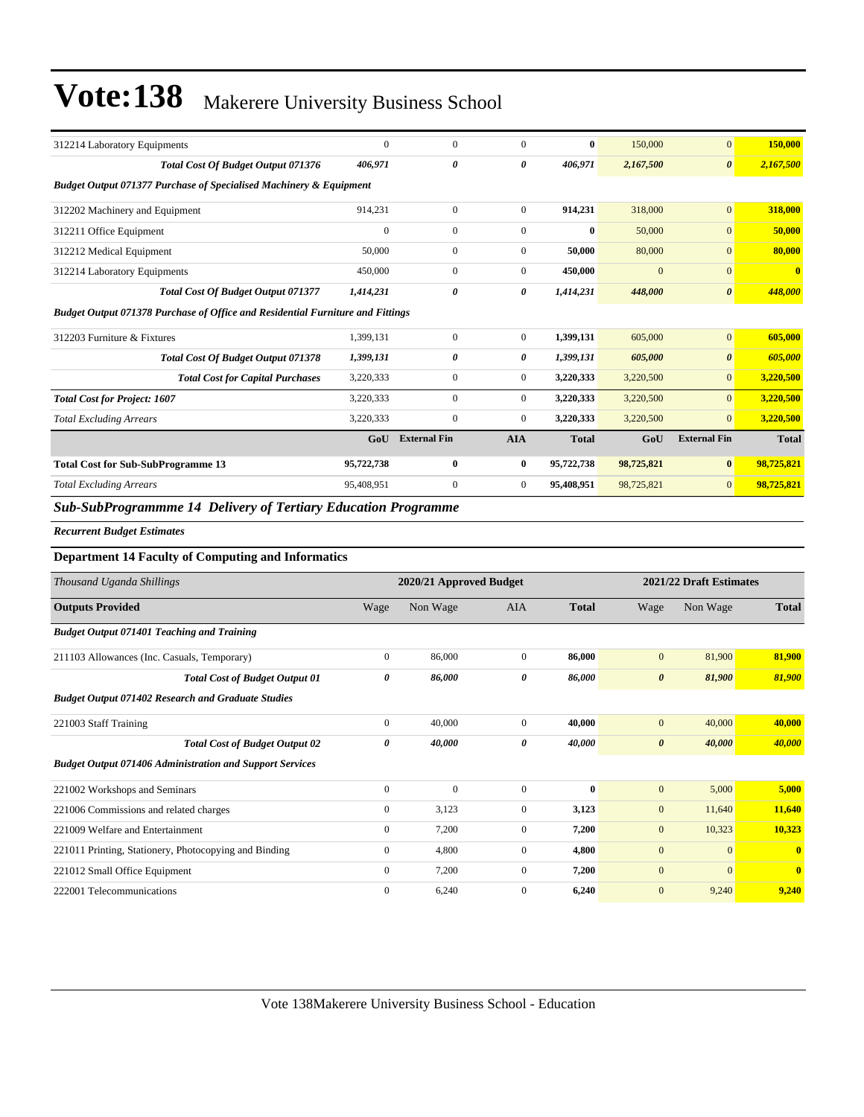| 312214 Laboratory Equipments                                                          | $\Omega$     | $\mathbf{0}$          | $\Omega$       | $\mathbf{0}$ | 150,000      | $\overline{0}$        | 150,000      |
|---------------------------------------------------------------------------------------|--------------|-----------------------|----------------|--------------|--------------|-----------------------|--------------|
| <b>Total Cost Of Budget Output 071376</b>                                             | 406,971      | $\boldsymbol{\theta}$ | 0              | 406,971      | 2,167,500    | $\boldsymbol{\theta}$ | 2,167,500    |
| <b>Budget Output 071377 Purchase of Specialised Machinery &amp; Equipment</b>         |              |                       |                |              |              |                       |              |
| 312202 Machinery and Equipment                                                        | 914,231      | $\mathbf{0}$          | $\overline{0}$ | 914,231      | 318,000      | $\mathbf{0}$          | 318,000      |
| 312211 Office Equipment                                                               | $\mathbf{0}$ | $\mathbf{0}$          | $\mathbf{0}$   | $\mathbf{0}$ | 50,000       | $\overline{0}$        | 50,000       |
| 312212 Medical Equipment                                                              | 50,000       | $\mathbf{0}$          | $\Omega$       | 50,000       | 80,000       | $\overline{0}$        | 80,000       |
| 312214 Laboratory Equipments                                                          | 450,000      | $\mathbf{0}$          | $\Omega$       | 450,000      | $\mathbf{0}$ | $\overline{0}$        | $\bf{0}$     |
| <b>Total Cost Of Budget Output 071377</b>                                             | 1,414,231    | 0                     | 0              | 1,414,231    | 448,000      | $\boldsymbol{\theta}$ | 448,000      |
| <b>Budget Output 071378 Purchase of Office and Residential Furniture and Fittings</b> |              |                       |                |              |              |                       |              |
| 312203 Furniture & Fixtures                                                           | 1,399,131    | $\mathbf{0}$          | $\mathbf{0}$   | 1,399,131    | 605,000      | $\mathbf{0}$          | 605,000      |
| <b>Total Cost Of Budget Output 071378</b>                                             | 1,399,131    | 0                     | 0              | 1,399,131    | 605,000      | $\boldsymbol{\theta}$ | 605,000      |
| <b>Total Cost for Capital Purchases</b>                                               | 3,220,333    | $\mathbf{0}$          | $\mathbf{0}$   | 3,220,333    | 3,220,500    | $\overline{0}$        | 3,220,500    |
| <b>Total Cost for Project: 1607</b>                                                   | 3,220,333    | $\overline{0}$        | $\mathbf{0}$   | 3,220,333    | 3,220,500    | $\overline{0}$        | 3,220,500    |
| <b>Total Excluding Arrears</b>                                                        | 3,220,333    | $\mathbf{0}$          | $\overline{0}$ | 3,220,333    | 3,220,500    | $\overline{0}$        | 3,220,500    |
|                                                                                       | GoU          | <b>External Fin</b>   | <b>AIA</b>     | <b>Total</b> | GoU          | <b>External Fin</b>   | <b>Total</b> |
| <b>Total Cost for Sub-SubProgramme 13</b>                                             | 95,722,738   | $\bf{0}$              | $\bf{0}$       | 95,722,738   | 98,725,821   | $\bf{0}$              | 98,725,821   |
| <b>Total Excluding Arrears</b>                                                        | 95,408,951   | $\boldsymbol{0}$      | $\overline{0}$ | 95,408,951   | 98,725,821   | $\overline{0}$        | 98,725,821   |
|                                                                                       |              |                       |                |              |              |                       |              |

*Sub-SubProgrammme 14 Delivery of Tertiary Education Programme*

#### *Recurrent Budget Estimates*

#### **Department 14 Faculty of Computing and Informatics**

| Thousand Uganda Shillings                                       |                | 2020/21 Approved Budget |              |              |                       | 2021/22 Draft Estimates |                         |  |
|-----------------------------------------------------------------|----------------|-------------------------|--------------|--------------|-----------------------|-------------------------|-------------------------|--|
| <b>Outputs Provided</b>                                         | Wage           | Non Wage                | <b>AIA</b>   | <b>Total</b> | Wage                  | Non Wage                | <b>Total</b>            |  |
| <b>Budget Output 071401 Teaching and Training</b>               |                |                         |              |              |                       |                         |                         |  |
| 211103 Allowances (Inc. Casuals, Temporary)                     | $\mathbf{0}$   | 86,000                  | $\mathbf{0}$ | 86,000       | $\overline{0}$        | 81,900                  | 81,900                  |  |
| <b>Total Cost of Budget Output 01</b>                           | 0              | 86,000                  | 0            | 86,000       | $\boldsymbol{\theta}$ | 81,900                  | 81,900                  |  |
| <b>Budget Output 071402 Research and Graduate Studies</b>       |                |                         |              |              |                       |                         |                         |  |
| 221003 Staff Training                                           | $\mathbf{0}$   | 40,000                  | $\Omega$     | 40.000       | $\overline{0}$        | 40,000                  | 40,000                  |  |
| <b>Total Cost of Budget Output 02</b>                           | 0              | 40,000                  | 0            | 40,000       | $\boldsymbol{\theta}$ | 40,000                  | 40,000                  |  |
| <b>Budget Output 071406 Administration and Support Services</b> |                |                         |              |              |                       |                         |                         |  |
| 221002 Workshops and Seminars                                   | $\overline{0}$ | $\mathbf{0}$            | $\mathbf{0}$ | $\bf{0}$     | $\overline{0}$        | 5,000                   | 5,000                   |  |
| 221006 Commissions and related charges                          | $\overline{0}$ | 3,123                   | $\mathbf{0}$ | 3,123        | $\overline{0}$        | 11,640                  | 11,640                  |  |
| 221009 Welfare and Entertainment                                | $\mathbf{0}$   | 7,200                   | $\mathbf{0}$ | 7,200        | $\mathbf{0}$          | 10,323                  | 10,323                  |  |
| 221011 Printing, Stationery, Photocopying and Binding           | $\overline{0}$ | 4,800                   | $\mathbf{0}$ | 4,800        | $\mathbf{0}$          | $\Omega$                | $\mathbf{0}$            |  |
| 221012 Small Office Equipment                                   | $\mathbf{0}$   | 7,200                   | $\Omega$     | 7,200        | $\overline{0}$        | $\Omega$                | $\overline{\mathbf{0}}$ |  |
| 222001 Telecommunications                                       | $\Omega$       | 6,240                   | $\Omega$     | 6,240        | $\overline{0}$        | 9,240                   | 9,240                   |  |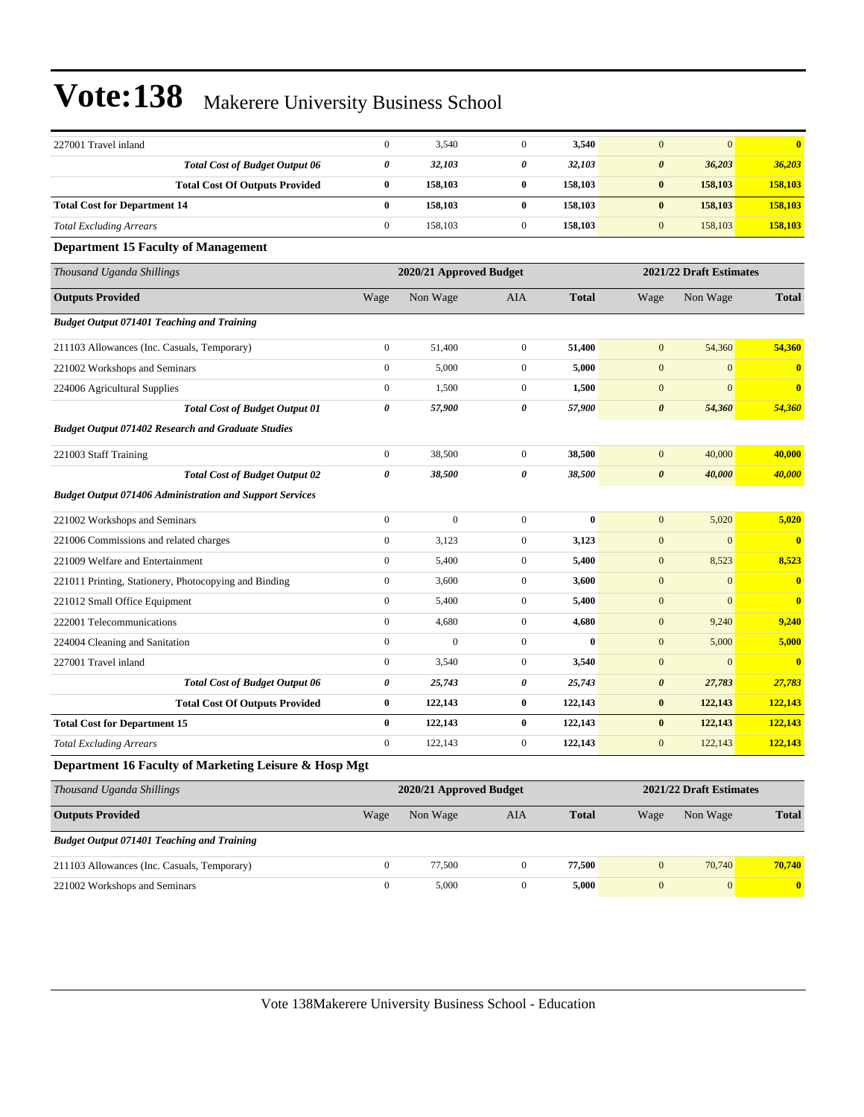| 227001 Travel inland                                            | $\boldsymbol{0}$      | 3,540                   | $\mathbf{0}$          | 3,540        | $\mathbf{0}$          | $\mathbf{0}$            | $\bf{0}$         |
|-----------------------------------------------------------------|-----------------------|-------------------------|-----------------------|--------------|-----------------------|-------------------------|------------------|
| <b>Total Cost of Budget Output 06</b>                           | 0                     | 32,103                  | 0                     | 32,103       | $\pmb{\theta}$        | 36,203                  | 36,203           |
| <b>Total Cost Of Outputs Provided</b>                           | $\bf{0}$              | 158,103                 | $\bf{0}$              | 158,103      | $\bf{0}$              | 158,103                 | 158,103          |
| <b>Total Cost for Department 14</b>                             | $\bf{0}$              | 158,103                 | $\bf{0}$              | 158,103      | $\bf{0}$              | 158,103                 | 158,103          |
| <b>Total Excluding Arrears</b>                                  | $\boldsymbol{0}$      | 158,103                 | $\boldsymbol{0}$      | 158,103      | $\mathbf{0}$          | 158,103                 | 158,103          |
| <b>Department 15 Faculty of Management</b>                      |                       |                         |                       |              |                       |                         |                  |
| Thousand Uganda Shillings                                       |                       | 2020/21 Approved Budget |                       |              |                       | 2021/22 Draft Estimates |                  |
| <b>Outputs Provided</b>                                         | Wage                  | Non Wage                | <b>AIA</b>            | <b>Total</b> | Wage                  | Non Wage                | <b>Total</b>     |
| <b>Budget Output 071401 Teaching and Training</b>               |                       |                         |                       |              |                       |                         |                  |
| 211103 Allowances (Inc. Casuals, Temporary)                     | $\boldsymbol{0}$      | 51,400                  | $\boldsymbol{0}$      | 51,400       | $\boldsymbol{0}$      | 54,360                  | 54,360           |
| 221002 Workshops and Seminars                                   | $\boldsymbol{0}$      | 5,000                   | $\boldsymbol{0}$      | 5,000        | $\mathbf{0}$          | $\boldsymbol{0}$        | $\bf{0}$         |
| 224006 Agricultural Supplies                                    | $\boldsymbol{0}$      | 1,500                   | $\mathbf{0}$          | 1,500        | $\mathbf{0}$          | $\mathbf{0}$            | $\bf{0}$         |
| <b>Total Cost of Budget Output 01</b>                           | $\boldsymbol{\theta}$ | 57,900                  | 0                     | 57,900       | $\boldsymbol{\theta}$ | 54,360                  | 54,360           |
| <b>Budget Output 071402 Research and Graduate Studies</b>       |                       |                         |                       |              |                       |                         |                  |
| 221003 Staff Training                                           | $\boldsymbol{0}$      | 38,500                  | $\mathbf{0}$          | 38,500       | $\mathbf{0}$          | 40,000                  | 40,000           |
| <b>Total Cost of Budget Output 02</b>                           | $\boldsymbol{\theta}$ | 38,500                  | $\boldsymbol{\theta}$ | 38,500       | $\boldsymbol{\theta}$ | 40,000                  | 40,000           |
| <b>Budget Output 071406 Administration and Support Services</b> |                       |                         |                       |              |                       |                         |                  |
| 221002 Workshops and Seminars                                   | $\boldsymbol{0}$      | $\mathbf{0}$            | $\boldsymbol{0}$      | $\bf{0}$     | $\mathbf{0}$          | 5,020                   | 5,020            |
| 221006 Commissions and related charges                          | $\boldsymbol{0}$      | 3,123                   | $\mathbf{0}$          | 3,123        | $\mathbf{0}$          | $\mathbf{0}$            | $\overline{0}$   |
| 221009 Welfare and Entertainment                                | $\boldsymbol{0}$      | 5,400                   | $\boldsymbol{0}$      | 5,400        | $\mathbf{0}$          | 8,523                   | 8,523            |
| 221011 Printing, Stationery, Photocopying and Binding           | $\boldsymbol{0}$      | 3,600                   | $\boldsymbol{0}$      | 3,600        | $\mathbf{0}$          | $\mathbf{0}$            | $\bf{0}$         |
| 221012 Small Office Equipment                                   | $\boldsymbol{0}$      | 5,400                   | $\boldsymbol{0}$      | 5,400        | $\boldsymbol{0}$      | $\mathbf{0}$            | $\bf{0}$         |
| 222001 Telecommunications                                       | $\boldsymbol{0}$      | 4,680                   | $\mathbf{0}$          | 4,680        | $\mathbf{0}$          | 9,240                   | 9,240            |
| 224004 Cleaning and Sanitation                                  | $\boldsymbol{0}$      | $\mathbf{0}$            | $\mathbf{0}$          | $\bf{0}$     | $\mathbf{0}$          | 5,000                   | 5,000            |
| 227001 Travel inland                                            | $\boldsymbol{0}$      | 3,540                   | $\boldsymbol{0}$      | 3,540        | $\boldsymbol{0}$      | $\mathbf{0}$            | $\bf{0}$         |
| <b>Total Cost of Budget Output 06</b>                           | 0                     | 25,743                  | 0                     | 25,743       | $\boldsymbol{\theta}$ | 27,783                  | 27,783           |
| <b>Total Cost Of Outputs Provided</b>                           | $\bf{0}$              | 122,143                 | $\bf{0}$              | 122,143      | $\bf{0}$              | 122,143                 | 122,143          |
| <b>Total Cost for Department 15</b>                             | $\bf{0}$              | 122,143                 | $\bf{0}$              | 122,143      | $\bf{0}$              | 122,143                 | 122,143          |
| <b>Total Excluding Arrears</b>                                  | $\boldsymbol{0}$      | 122,143                 | $\boldsymbol{0}$      | 122,143      | $\mathbf{0}$          | 122,143                 | 122,143          |
| Department 16 Faculty of Marketing Leisure & Hosp Mgt           |                       |                         |                       |              |                       |                         |                  |
| Thousand Uganda Shillings                                       |                       | 2020/21 Approved Budget |                       |              |                       | 2021/22 Draft Estimates |                  |
| <b>Outputs Provided</b>                                         | Wage                  | Non Wage                | AIA                   | <b>Total</b> | Wage                  | Non Wage                | <b>Total</b>     |
| <b>Budget Output 071401 Teaching and Training</b>               |                       |                         |                       |              |                       |                         |                  |
| 211103 Allowances (Inc. Casuals, Temporary)                     | $\boldsymbol{0}$      | 77,500                  | $\overline{0}$        | 77,500       | $\mathbf{0}$          | 70,740                  | 70,740           |
| 221002 Workshops and Seminars                                   | $\boldsymbol{0}$      | 5,000                   | $\boldsymbol{0}$      | 5,000        | $\boldsymbol{0}$      | 0                       | $\boldsymbol{0}$ |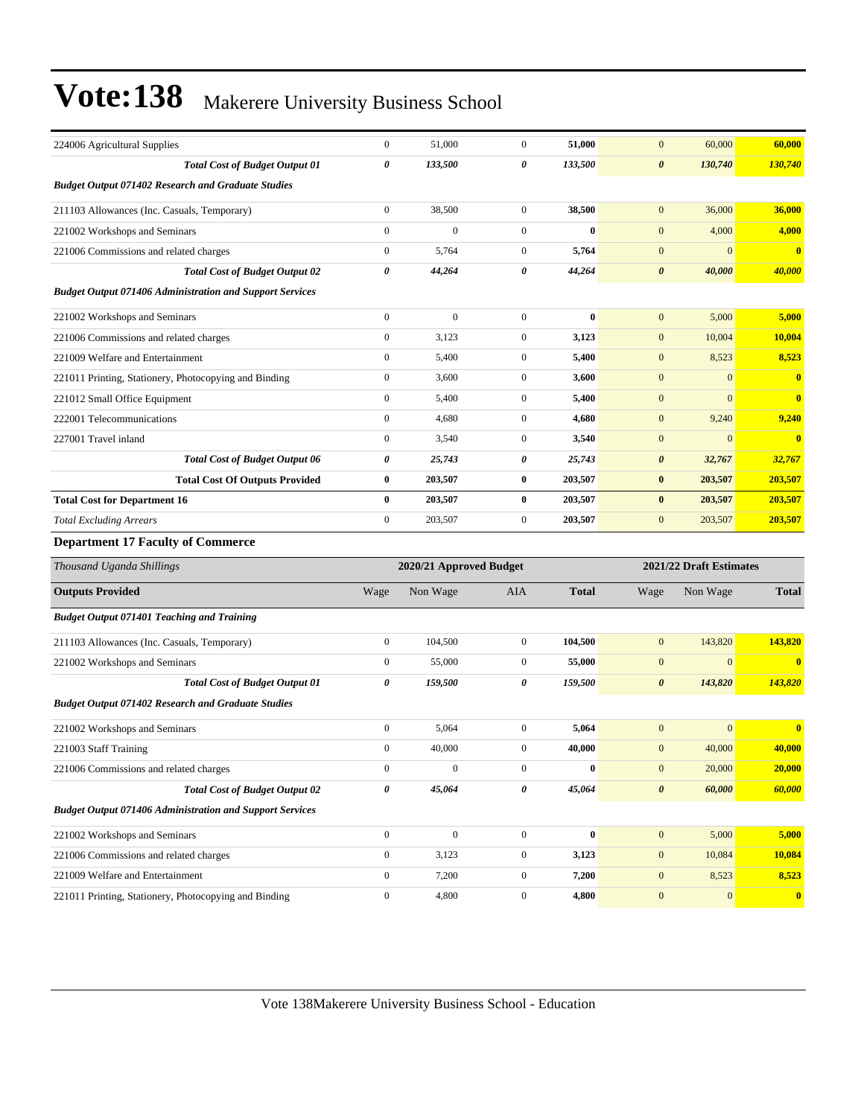| 224006 Agricultural Supplies                                    | $\boldsymbol{0}$ | 51,000                  | $\mathbf{0}$     | 51,000       | $\mathbf{0}$          | 60,000                  | 60,000       |
|-----------------------------------------------------------------|------------------|-------------------------|------------------|--------------|-----------------------|-------------------------|--------------|
| <b>Total Cost of Budget Output 01</b>                           | 0                | 133,500                 | 0                | 133,500      | $\boldsymbol{\theta}$ | 130,740                 | 130,740      |
| <b>Budget Output 071402 Research and Graduate Studies</b>       |                  |                         |                  |              |                       |                         |              |
| 211103 Allowances (Inc. Casuals, Temporary)                     | $\boldsymbol{0}$ | 38,500                  | $\mathbf{0}$     | 38,500       | $\mathbf{0}$          | 36,000                  | 36,000       |
| 221002 Workshops and Seminars                                   | $\overline{0}$   | $\mathbf{0}$            | $\mathbf{0}$     | $\bf{0}$     | $\mathbf{0}$          | 4,000                   | 4,000        |
| 221006 Commissions and related charges                          | $\boldsymbol{0}$ | 5,764                   | $\mathbf{0}$     | 5,764        | $\mathbf{0}$          | $\overline{0}$          | $\bf{0}$     |
| <b>Total Cost of Budget Output 02</b>                           | 0                | 44,264                  | 0                | 44,264       | $\boldsymbol{\theta}$ | 40,000                  | 40,000       |
| <b>Budget Output 071406 Administration and Support Services</b> |                  |                         |                  |              |                       |                         |              |
| 221002 Workshops and Seminars                                   | $\boldsymbol{0}$ | $\boldsymbol{0}$        | $\mathbf{0}$     | $\bf{0}$     | $\mathbf{0}$          | 5,000                   | 5,000        |
| 221006 Commissions and related charges                          | $\boldsymbol{0}$ | 3,123                   | $\mathbf{0}$     | 3,123        | $\mathbf{0}$          | 10,004                  | 10,004       |
| 221009 Welfare and Entertainment                                | $\boldsymbol{0}$ | 5,400                   | $\mathbf{0}$     | 5,400        | $\mathbf{0}$          | 8,523                   | 8,523        |
| 221011 Printing, Stationery, Photocopying and Binding           | $\boldsymbol{0}$ | 3,600                   | $\mathbf{0}$     | 3,600        | $\mathbf{0}$          | $\overline{0}$          | $\bf{0}$     |
| 221012 Small Office Equipment                                   | $\boldsymbol{0}$ | 5,400                   | $\mathbf{0}$     | 5,400        | $\mathbf{0}$          | $\overline{0}$          | $\bf{0}$     |
| 222001 Telecommunications                                       | $\boldsymbol{0}$ | 4,680                   | $\mathbf{0}$     | 4,680        | $\boldsymbol{0}$      | 9,240                   | 9,240        |
| 227001 Travel inland                                            | $\boldsymbol{0}$ | 3,540                   | $\mathbf{0}$     | 3,540        | $\mathbf{0}$          | $\overline{0}$          | $\bf{0}$     |
| <b>Total Cost of Budget Output 06</b>                           | 0                | 25,743                  | 0                | 25,743       | 0                     | 32,767                  | 32,767       |
| <b>Total Cost Of Outputs Provided</b>                           | 0                | 203,507                 | $\bf{0}$         | 203,507      | $\bf{0}$              | 203,507                 | 203,507      |
| <b>Total Cost for Department 16</b>                             | $\bf{0}$         | 203,507                 | $\bf{0}$         | 203,507      | $\bf{0}$              | 203,507                 | 203,507      |
| <b>Total Excluding Arrears</b>                                  | $\boldsymbol{0}$ | 203,507                 | $\boldsymbol{0}$ | 203,507      | $\mathbf{0}$          | 203,507                 | 203,507      |
| <b>Department 17 Faculty of Commerce</b>                        |                  |                         |                  |              |                       |                         |              |
| Thousand Uganda Shillings                                       |                  | 2020/21 Approved Budget |                  |              |                       | 2021/22 Draft Estimates |              |
| <b>Outputs Provided</b>                                         | Wage             | Non Wage                | <b>AIA</b>       | <b>Total</b> | Wage                  | Non Wage                | <b>Total</b> |
| <b>Budget Output 071401 Teaching and Training</b>               |                  |                         |                  |              |                       |                         |              |
| 211103 Allowances (Inc. Casuals, Temporary)                     | $\boldsymbol{0}$ | 104,500                 | $\mathbf{0}$     | 104,500      | $\mathbf{0}$          | 143,820                 | 143,820      |
| 221002 Workshops and Seminars                                   | $\boldsymbol{0}$ | 55,000                  | $\mathbf{0}$     | 55,000       | $\mathbf{0}$          | $\overline{0}$          | $\bf{0}$     |
| <b>Total Cost of Budget Output 01</b>                           | 0                | 159,500                 | 0                | 159,500      | $\boldsymbol{\theta}$ | 143,820                 | 143,820      |
| <b>Budget Output 071402 Research and Graduate Studies</b>       |                  |                         |                  |              |                       |                         |              |
| 221002 Workshops and Seminars                                   | $\boldsymbol{0}$ | 5,064                   | $\mathbf{0}$     | 5,064        | $\mathbf{0}$          | $\overline{0}$          | $\bf{0}$     |
| 221003 Staff Training                                           | $\boldsymbol{0}$ | 40,000                  | $\mathbf{0}$     | 40,000       | $\mathbf{0}$          | 40,000                  | 40,000       |
| 221006 Commissions and related charges                          | $\boldsymbol{0}$ | $\boldsymbol{0}$        | $\boldsymbol{0}$ | $\bf{0}$     | $\boldsymbol{0}$      | 20,000                  | 20,000       |
| <b>Total Cost of Budget Output 02</b>                           | 0                | 45,064                  | 0                | 45,064       | $\boldsymbol{\theta}$ | 60,000                  | 60,000       |
| <b>Budget Output 071406 Administration and Support Services</b> |                  |                         |                  |              |                       |                         |              |
| 221002 Workshops and Seminars                                   | $\boldsymbol{0}$ | $\mathbf{0}$            | $\mathbf{0}$     | $\bf{0}$     | $\mathbf{0}$          | 5,000                   | 5,000        |
| 221006 Commissions and related charges                          | $\boldsymbol{0}$ | 3,123                   | $\boldsymbol{0}$ | 3,123        | $\boldsymbol{0}$      | 10,084                  | 10,084       |
| 221009 Welfare and Entertainment                                | $\boldsymbol{0}$ | 7,200                   | $\boldsymbol{0}$ | 7,200        | $\mathbf{0}$          | 8,523                   | 8,523        |
| 221011 Printing, Stationery, Photocopying and Binding           | $\boldsymbol{0}$ | 4,800                   | $\boldsymbol{0}$ | 4,800        | $\boldsymbol{0}$      | 0                       | $\mathbf{0}$ |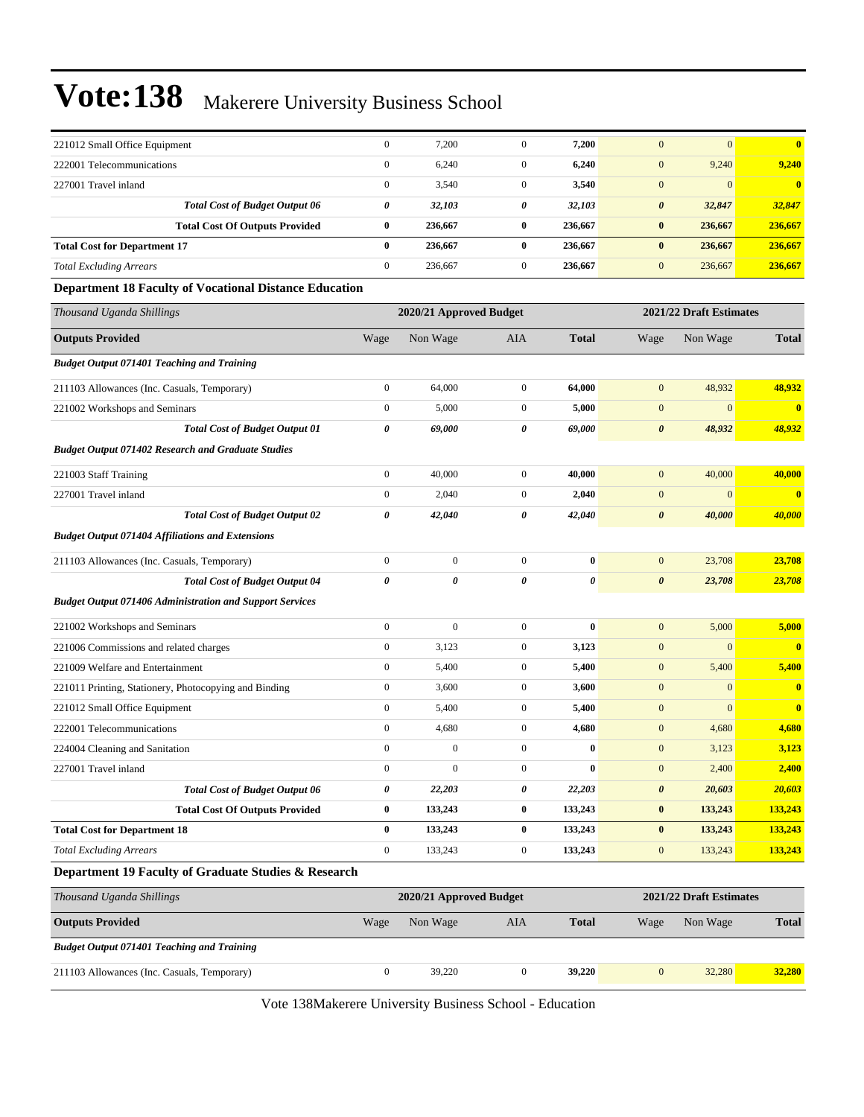| 222001 Telecommunications                                       | $\mathbf{0}$     | 6,240                   | $\mathbf{0}$     | 6,240        | $\mathbf{0}$          | 9,240                   | 9,240                   |
|-----------------------------------------------------------------|------------------|-------------------------|------------------|--------------|-----------------------|-------------------------|-------------------------|
| 227001 Travel inland                                            | $\boldsymbol{0}$ | 3,540                   | $\mathbf{0}$     | 3,540        | $\mathbf{0}$          | $\mathbf{0}$            | $\overline{\mathbf{0}}$ |
| <b>Total Cost of Budget Output 06</b>                           | 0                | 32,103                  | 0                | 32,103       | $\boldsymbol{\theta}$ | 32,847                  | 32,847                  |
| <b>Total Cost Of Outputs Provided</b>                           | $\bf{0}$         | 236,667                 | $\bf{0}$         | 236,667      | $\bf{0}$              | 236,667                 | 236,667                 |
| <b>Total Cost for Department 17</b>                             | $\bf{0}$         | 236,667                 | $\bf{0}$         | 236,667      | $\bf{0}$              | 236,667                 | 236,667                 |
| <b>Total Excluding Arrears</b>                                  | $\boldsymbol{0}$ | 236,667                 | $\mathbf{0}$     | 236,667      | $\boldsymbol{0}$      | 236,667                 | 236,667                 |
| <b>Department 18 Faculty of Vocational Distance Education</b>   |                  |                         |                  |              |                       |                         |                         |
| Thousand Uganda Shillings                                       |                  | 2020/21 Approved Budget |                  |              |                       | 2021/22 Draft Estimates |                         |
| <b>Outputs Provided</b>                                         | Wage             | Non Wage                | AIA              | <b>Total</b> | Wage                  | Non Wage                | <b>Total</b>            |
| <b>Budget Output 071401 Teaching and Training</b>               |                  |                         |                  |              |                       |                         |                         |
| 211103 Allowances (Inc. Casuals, Temporary)                     | $\boldsymbol{0}$ | 64,000                  | $\boldsymbol{0}$ | 64,000       | $\mathbf{0}$          | 48,932                  | 48,932                  |
| 221002 Workshops and Seminars                                   | $\mathbf{0}$     | 5,000                   | $\mathbf{0}$     | 5,000        | $\boldsymbol{0}$      | $\boldsymbol{0}$        | $\bf{0}$                |
| <b>Total Cost of Budget Output 01</b>                           | 0                | 69,000                  | 0                | 69,000       | $\boldsymbol{\theta}$ | 48,932                  | 48,932                  |
| <b>Budget Output 071402 Research and Graduate Studies</b>       |                  |                         |                  |              |                       |                         |                         |
| 221003 Staff Training                                           | $\boldsymbol{0}$ | 40,000                  | $\boldsymbol{0}$ | 40,000       | $\mathbf{0}$          | 40,000                  | 40,000                  |
| 227001 Travel inland                                            | $\boldsymbol{0}$ | 2,040                   | $\mathbf{0}$     | 2,040        | $\mathbf{0}$          | $\boldsymbol{0}$        | $\overline{\mathbf{0}}$ |
| <b>Total Cost of Budget Output 02</b>                           | 0                | 42,040                  | 0                | 42,040       | $\boldsymbol{\theta}$ | 40,000                  | 40,000                  |
| <b>Budget Output 071404 Affiliations and Extensions</b>         |                  |                         |                  |              |                       |                         |                         |
| 211103 Allowances (Inc. Casuals, Temporary)                     | $\mathbf{0}$     | $\mathbf{0}$            | $\overline{0}$   | $\bf{0}$     | $\mathbf{0}$          | 23,708                  | 23,708                  |
| <b>Total Cost of Budget Output 04</b>                           | 0                | 0                       | 0                | 0            | $\boldsymbol{\theta}$ | 23,708                  | 23,708                  |
| <b>Budget Output 071406 Administration and Support Services</b> |                  |                         |                  |              |                       |                         |                         |
| 221002 Workshops and Seminars                                   | $\boldsymbol{0}$ | $\boldsymbol{0}$        | $\boldsymbol{0}$ | $\bf{0}$     | $\mathbf{0}$          | 5,000                   | 5,000                   |
| 221006 Commissions and related charges                          | $\boldsymbol{0}$ | 3,123                   | $\mathbf{0}$     | 3,123        | $\mathbf{0}$          | $\boldsymbol{0}$        | $\overline{\mathbf{0}}$ |
| 221009 Welfare and Entertainment                                | $\boldsymbol{0}$ | 5,400                   | $\overline{0}$   | 5,400        | $\mathbf{0}$          | 5,400                   | 5,400                   |
| 221011 Printing, Stationery, Photocopying and Binding           | $\mathbf{0}$     | 3,600                   | $\mathbf{0}$     | 3,600        | $\mathbf{0}$          | $\mathbf{0}$            | $\bf{0}$                |
| 221012 Small Office Equipment                                   | $\boldsymbol{0}$ | 5,400                   | $\mathbf{0}$     | 5,400        | $\mathbf{0}$          | $\mathbf{0}$            | $\bf{0}$                |
| 222001 Telecommunications                                       | $\mathbf{0}$     | 4,680                   | $\boldsymbol{0}$ | 4,680        | $\mathbf{0}$          | 4,680                   | 4,680                   |
| 224004 Cleaning and Sanitation                                  | $\boldsymbol{0}$ | $\boldsymbol{0}$        | $\boldsymbol{0}$ | $\bf{0}$     | $\mathbf{0}$          | 3,123                   | 3,123                   |
| 227001 Travel inland                                            | $\boldsymbol{0}$ | $\boldsymbol{0}$        | $\boldsymbol{0}$ | $\bf{0}$     | $\mathbf{0}$          | 2,400                   | 2,400                   |
| <b>Total Cost of Budget Output 06</b>                           | 0                | 22,203                  | 0                | 22,203       | $\boldsymbol{\theta}$ | 20,603                  | 20,603                  |
| <b>Total Cost Of Outputs Provided</b>                           | $\bf{0}$         | 133,243                 | $\bf{0}$         | 133,243      | $\bf{0}$              | 133,243                 | 133,243                 |
| <b>Total Cost for Department 18</b>                             | $\bf{0}$         | 133,243                 | $\bf{0}$         | 133,243      | $\pmb{0}$             | 133,243                 | 133,243                 |
| <b>Total Excluding Arrears</b>                                  | $\mathbf{0}$     | 133,243                 | $\boldsymbol{0}$ | 133,243      | $\boldsymbol{0}$      | 133,243                 | 133,243                 |
| Department 19 Faculty of Graduate Studies & Research            |                  |                         |                  |              |                       |                         |                         |
| Thousand Uganda Shillings                                       |                  | 2020/21 Approved Budget |                  |              |                       | 2021/22 Draft Estimates |                         |
| <b>Outputs Provided</b>                                         | Wage             | Non Wage                | AIA              | <b>Total</b> | Wage                  | Non Wage                | <b>Total</b>            |

Vote 138Makerere University Business School - Education

211103 Allowances (Inc. Casuals, Temporary) 0 39,220 0 **39,220** 0 32,280 **32,280**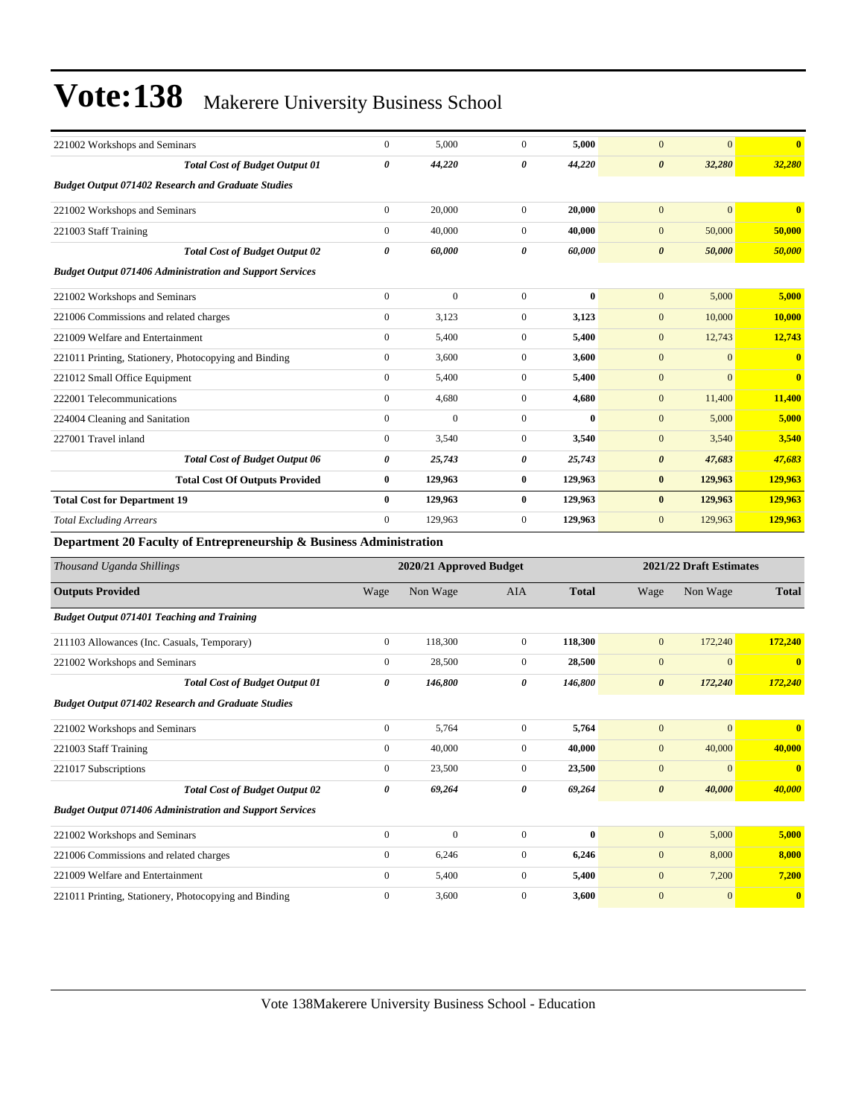| 221002 Workshops and Seminars                                       | $\mathbf{0}$     | 5,000                   | $\mathbf{0}$     | 5,000        | $\overline{0}$        | $\overline{0}$          | $\overline{\mathbf{0}}$ |
|---------------------------------------------------------------------|------------------|-------------------------|------------------|--------------|-----------------------|-------------------------|-------------------------|
| <b>Total Cost of Budget Output 01</b>                               | $\theta$         | 44,220                  | 0                | 44,220       | $\boldsymbol{\theta}$ | 32,280                  | 32,280                  |
| <b>Budget Output 071402 Research and Graduate Studies</b>           |                  |                         |                  |              |                       |                         |                         |
| 221002 Workshops and Seminars                                       | $\boldsymbol{0}$ | 20,000                  | $\mathbf{0}$     | 20,000       | $\mathbf{0}$          | $\mathbf{0}$            | $\bf{0}$                |
| 221003 Staff Training                                               | $\overline{0}$   | 40,000                  | $\overline{0}$   | 40,000       | $\overline{0}$        | 50,000                  | 50,000                  |
| <b>Total Cost of Budget Output 02</b>                               | 0                | 60,000                  | 0                | 60,000       | $\boldsymbol{\theta}$ | 50,000                  | 50,000                  |
| <b>Budget Output 071406 Administration and Support Services</b>     |                  |                         |                  |              |                       |                         |                         |
| 221002 Workshops and Seminars                                       | $\boldsymbol{0}$ | $\boldsymbol{0}$        | $\mathbf{0}$     | $\mathbf{0}$ | $\mathbf{0}$          | 5,000                   | 5,000                   |
| 221006 Commissions and related charges                              | $\overline{0}$   | 3,123                   | $\mathbf{0}$     | 3,123        | $\overline{0}$        | 10,000                  | 10,000                  |
| 221009 Welfare and Entertainment                                    | $\mathbf{0}$     | 5,400                   | $\overline{0}$   | 5,400        | $\overline{0}$        | 12,743                  | 12,743                  |
| 221011 Printing, Stationery, Photocopying and Binding               | $\boldsymbol{0}$ | 3,600                   | $\mathbf{0}$     | 3,600        | $\mathbf{0}$          | $\Omega$                | $\bf{0}$                |
| 221012 Small Office Equipment                                       | $\overline{0}$   | 5,400                   | $\mathbf{0}$     | 5,400        | $\mathbf{0}$          | $\overline{0}$          | $\bf{0}$                |
| 222001 Telecommunications                                           | $\boldsymbol{0}$ | 4,680                   | $\boldsymbol{0}$ | 4,680        | $\mathbf{0}$          | 11,400                  | 11,400                  |
| 224004 Cleaning and Sanitation                                      | $\boldsymbol{0}$ | $\mathbf{0}$            | $\mathbf{0}$     | $\bf{0}$     | $\mathbf{0}$          | 5,000                   | 5,000                   |
| 227001 Travel inland                                                | $\boldsymbol{0}$ | 3,540                   | $\mathbf{0}$     | 3,540        | $\mathbf{0}$          | 3,540                   | 3,540                   |
| <b>Total Cost of Budget Output 06</b>                               | 0                | 25,743                  | 0                | 25,743       | $\boldsymbol{\theta}$ | 47,683                  | 47,683                  |
| <b>Total Cost Of Outputs Provided</b>                               | 0                | 129,963                 | $\bf{0}$         | 129,963      | $\bf{0}$              | 129,963                 | 129,963                 |
| <b>Total Cost for Department 19</b>                                 | $\bf{0}$         | 129,963                 | $\bf{0}$         | 129,963      | $\bf{0}$              | 129,963                 | 129,963                 |
| <b>Total Excluding Arrears</b>                                      | $\overline{0}$   | 129,963                 | $\mathbf{0}$     | 129,963      | $\mathbf{0}$          | 129,963                 | 129,963                 |
| Department 20 Faculty of Entrepreneurship & Business Administration |                  |                         |                  |              |                       |                         |                         |
| Thousand Uganda Shillings                                           |                  | 2020/21 Approved Budget |                  |              |                       | 2021/22 Draft Estimates |                         |
| <b>Outputs Provided</b>                                             | Wage             | Non Wage                | <b>AIA</b>       | <b>Total</b> | Wage                  | Non Wage                | <b>Total</b>            |
| <b>Budget Output 071401 Teaching and Training</b>                   |                  |                         |                  |              |                       |                         |                         |
| 211103 Allowances (Inc. Casuals, Temporary)                         | $\boldsymbol{0}$ | 118,300                 | $\boldsymbol{0}$ | 118,300      | $\mathbf{0}$          | 172,240                 | 172,240                 |
| 221002 Workshops and Seminars                                       | $\overline{0}$   | 28,500                  | $\overline{0}$   | 28,500       | $\overline{0}$        | $\overline{0}$          | $\bf{0}$                |
| <b>Total Cost of Budget Output 01</b>                               | 0                | 146,800                 | 0                | 146,800      | $\boldsymbol{\theta}$ | 172,240                 | 172,240                 |
| <b>Budget Output 071402 Research and Graduate Studies</b>           |                  |                         |                  |              |                       |                         |                         |
| 221002 Workshops and Seminars                                       | $\boldsymbol{0}$ | 5,764                   | $\mathbf{0}$     | 5,764        | $\mathbf{0}$          | $\mathbf{0}$            | $\bf{0}$                |
| 221003 Staff Training                                               | $\boldsymbol{0}$ | 40,000                  | $\mathbf{0}$     | 40,000       | $\mathbf{0}$          | 40,000                  | 40,000                  |
| 221017 Subscriptions                                                | $\overline{0}$   | 23,500                  | $\overline{0}$   | 23,500       | $\mathbf{0}$          | $\Omega$                | $\bf{0}$                |
| <b>Total Cost of Budget Output 02</b>                               | 0                | 69,264                  | 0                | 69,264       | $\boldsymbol{\theta}$ | 40.000                  | 40,000                  |

| <b>Budget Output 071406 Administration and Support Services</b> |       |       |                |       |
|-----------------------------------------------------------------|-------|-------|----------------|-------|
| 221002 Workshops and Seminars                                   |       |       | 5,000          | 5.000 |
| 221006 Commissions and related charges                          | 6.246 | 6.246 | 8,000          | 8.000 |
| 221009 Welfare and Entertainment                                | 5.400 | 5.400 | 7.200          | 7.200 |
| 221011 Printing, Stationery, Photocopying and Binding           | 3,600 | 3.600 | $\overline{0}$ |       |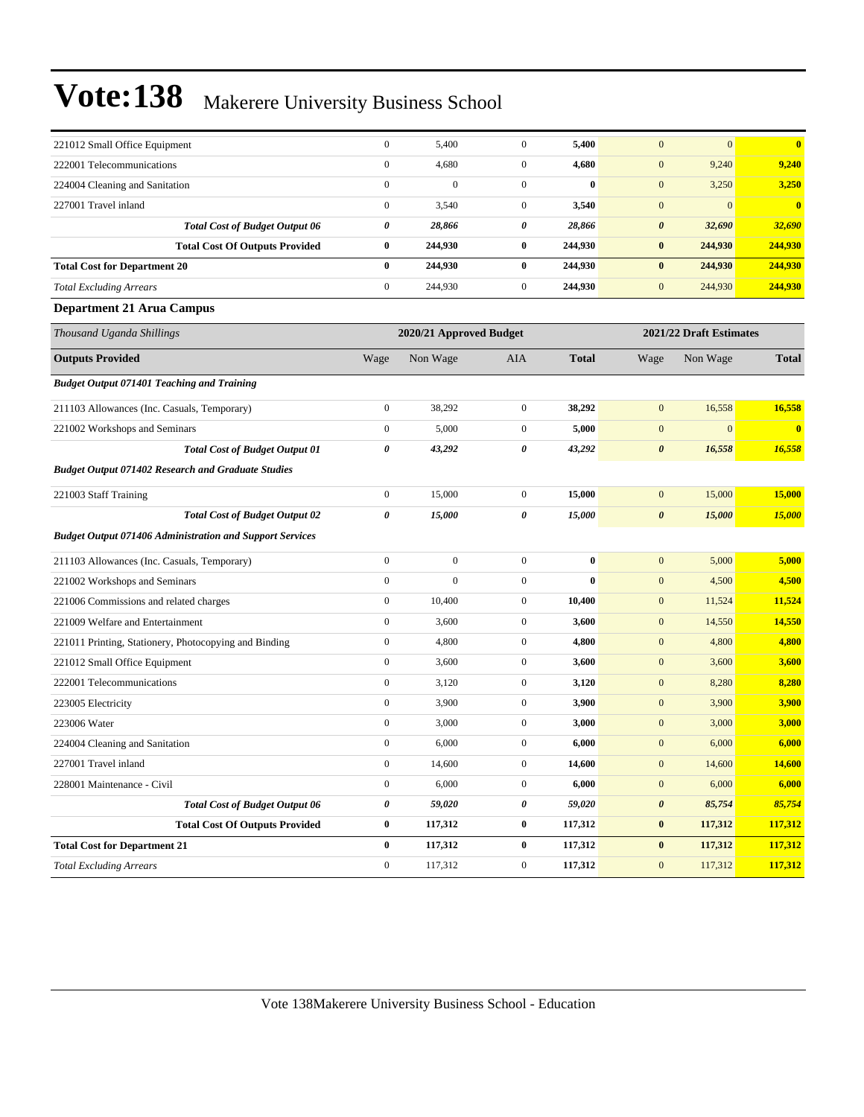| 221012 Small Office Equipment                                   | $\boldsymbol{0}$ | 5,400                   | $\mathbf{0}$     | 5,400        | $\mathbf{0}$          | $\mathbf{0}$            | $\bf{0}$                |
|-----------------------------------------------------------------|------------------|-------------------------|------------------|--------------|-----------------------|-------------------------|-------------------------|
| 222001 Telecommunications                                       | $\boldsymbol{0}$ | 4,680                   | $\mathbf{0}$     | 4,680        | $\boldsymbol{0}$      | 9,240                   | 9,240                   |
| 224004 Cleaning and Sanitation                                  | $\boldsymbol{0}$ | $\boldsymbol{0}$        | $\overline{0}$   | $\bf{0}$     | $\mathbf{0}$          | 3,250                   | 3,250                   |
| 227001 Travel inland                                            | $\boldsymbol{0}$ | 3,540                   | $\overline{0}$   | 3,540        | $\mathbf{0}$          | $\mathbf{0}$            | $\overline{\mathbf{0}}$ |
| <b>Total Cost of Budget Output 06</b>                           | 0                | 28,866                  | 0                | 28,866       | $\boldsymbol{\theta}$ | 32,690                  | 32,690                  |
| <b>Total Cost Of Outputs Provided</b>                           | $\bf{0}$         | 244,930                 | $\bf{0}$         | 244,930      | $\bf{0}$              | 244,930                 | 244,930                 |
| <b>Total Cost for Department 20</b>                             | $\bf{0}$         | 244,930                 | $\bf{0}$         | 244,930      | $\bf{0}$              | 244,930                 | 244,930                 |
| <b>Total Excluding Arrears</b>                                  | $\boldsymbol{0}$ | 244,930                 | $\boldsymbol{0}$ | 244,930      | $\mathbf{0}$          | 244,930                 | 244,930                 |
| <b>Department 21 Arua Campus</b>                                |                  |                         |                  |              |                       |                         |                         |
| Thousand Uganda Shillings                                       |                  | 2020/21 Approved Budget |                  |              |                       | 2021/22 Draft Estimates |                         |
| <b>Outputs Provided</b>                                         | Wage             | Non Wage                | <b>AIA</b>       | <b>Total</b> | Wage                  | Non Wage                | <b>Total</b>            |
| <b>Budget Output 071401 Teaching and Training</b>               |                  |                         |                  |              |                       |                         |                         |
| 211103 Allowances (Inc. Casuals, Temporary)                     | $\boldsymbol{0}$ | 38,292                  | $\overline{0}$   | 38,292       | $\boldsymbol{0}$      | 16,558                  | 16,558                  |
| 221002 Workshops and Seminars                                   | $\boldsymbol{0}$ | 5,000                   | $\mathbf{0}$     | 5,000        | $\mathbf{0}$          | $\mathbf{0}$            | $\overline{0}$          |
| <b>Total Cost of Budget Output 01</b>                           | 0                | 43,292                  | 0                | 43,292       | $\boldsymbol{\theta}$ | 16,558                  | 16,558                  |
| <b>Budget Output 071402 Research and Graduate Studies</b>       |                  |                         |                  |              |                       |                         |                         |
| 221003 Staff Training                                           | $\boldsymbol{0}$ | 15,000                  | $\overline{0}$   | 15,000       | $\boldsymbol{0}$      | 15,000                  | <b>15,000</b>           |
| <b>Total Cost of Budget Output 02</b>                           | 0                | 15,000                  | 0                | 15,000       | $\boldsymbol{\theta}$ | 15,000                  | 15,000                  |
| <b>Budget Output 071406 Administration and Support Services</b> |                  |                         |                  |              |                       |                         |                         |
| 211103 Allowances (Inc. Casuals, Temporary)                     | $\boldsymbol{0}$ | $\boldsymbol{0}$        | $\overline{0}$   | $\bf{0}$     | $\boldsymbol{0}$      | 5,000                   | 5,000                   |
| 221002 Workshops and Seminars                                   | $\boldsymbol{0}$ | $\overline{0}$          | $\overline{0}$   | $\bf{0}$     | $\mathbf{0}$          | 4,500                   | 4,500                   |
| 221006 Commissions and related charges                          | $\boldsymbol{0}$ | 10,400                  | $\mathbf{0}$     | 10,400       | $\mathbf{0}$          | 11,524                  | 11,524                  |
| 221009 Welfare and Entertainment                                | $\boldsymbol{0}$ | 3,600                   | $\overline{0}$   | 3,600        | $\boldsymbol{0}$      | 14,550                  | 14,550                  |
| 221011 Printing, Stationery, Photocopying and Binding           | $\boldsymbol{0}$ | 4,800                   | $\mathbf{0}$     | 4,800        | $\mathbf{0}$          | 4,800                   | 4,800                   |
| 221012 Small Office Equipment                                   | $\boldsymbol{0}$ | 3,600                   | $\mathbf{0}$     | 3,600        | $\mathbf{0}$          | 3,600                   | 3,600                   |
| 222001 Telecommunications                                       | $\boldsymbol{0}$ | 3,120                   | $\mathbf{0}$     | 3,120        | $\mathbf{0}$          | 8,280                   | 8,280                   |
| 223005 Electricity                                              | $\boldsymbol{0}$ | 3,900                   | $\mathbf{0}$     | 3,900        | $\boldsymbol{0}$      | 3,900                   | 3,900                   |
| 223006 Water                                                    | $\boldsymbol{0}$ | 3,000                   | $\mathbf{0}$     | 3,000        | $\boldsymbol{0}$      | 3,000                   | 3,000                   |
| 224004 Cleaning and Sanitation                                  | $\boldsymbol{0}$ | 6,000                   | $\mathbf{0}$     | 6,000        | $\mathbf{0}$          | 6,000                   | 6,000                   |
| 227001 Travel inland                                            | $\boldsymbol{0}$ | 14,600                  | $\boldsymbol{0}$ | 14,600       | $\boldsymbol{0}$      | 14,600                  | 14,600                  |
| 228001 Maintenance - Civil                                      | $\boldsymbol{0}$ | 6,000                   | $\boldsymbol{0}$ | 6,000        | $\mathbf{0}$          | 6,000                   | 6,000                   |
| <b>Total Cost of Budget Output 06</b>                           | 0                | 59,020                  | 0                | 59,020       | $\pmb{\theta}$        | 85,754                  | 85,754                  |
| <b>Total Cost Of Outputs Provided</b>                           | $\bf{0}$         | 117,312                 | $\bf{0}$         | 117,312      | $\pmb{0}$             | 117,312                 | 117,312                 |
| <b>Total Cost for Department 21</b>                             | $\bf{0}$         | 117,312                 | $\bf{0}$         | 117,312      | $\bf{0}$              | 117,312                 | 117,312                 |
| <b>Total Excluding Arrears</b>                                  | $\boldsymbol{0}$ | 117,312                 | $\boldsymbol{0}$ | 117,312      | $\boldsymbol{0}$      | 117,312                 | 117,312                 |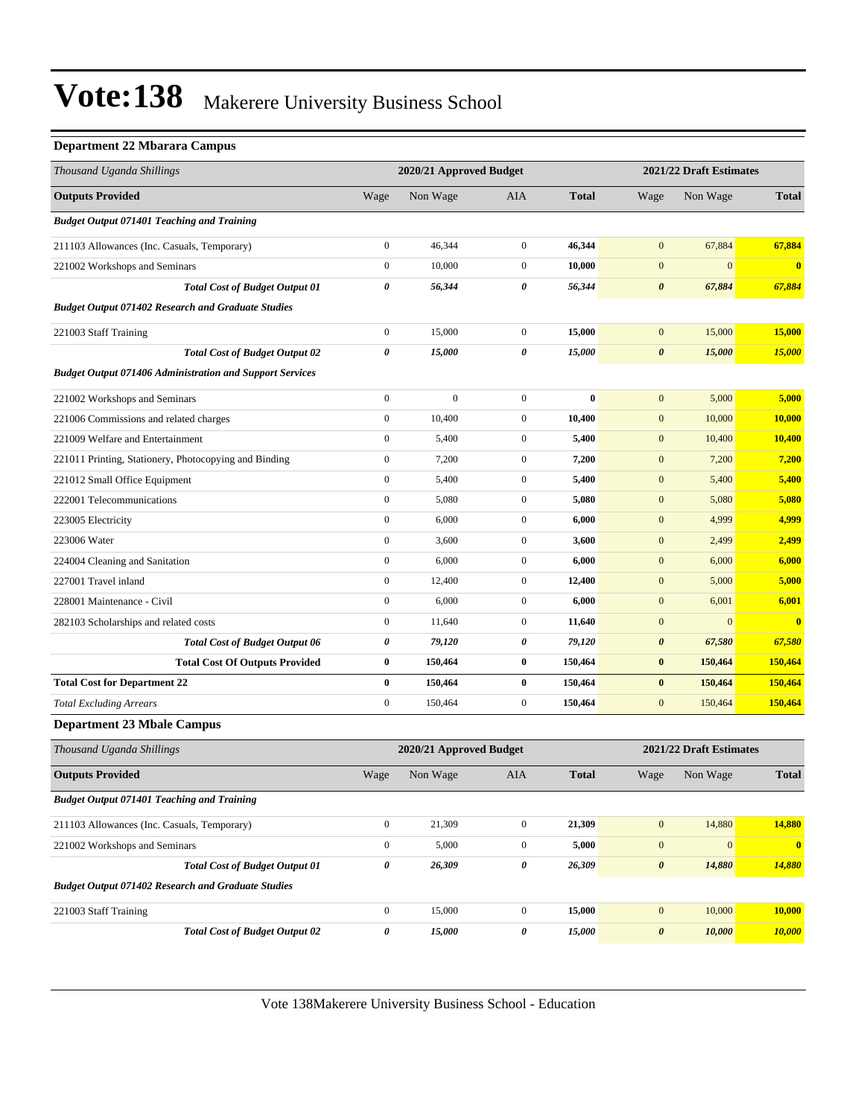#### **Department 22 Mbarara Campus**

| Thousand Uganda Shillings                                       |                  | 2020/21 Approved Budget |                  |              |                       | 2021/22 Draft Estimates |                         |  |
|-----------------------------------------------------------------|------------------|-------------------------|------------------|--------------|-----------------------|-------------------------|-------------------------|--|
| <b>Outputs Provided</b>                                         | Wage             | Non Wage                | AIA              | <b>Total</b> | Wage                  | Non Wage                | <b>Total</b>            |  |
| <b>Budget Output 071401 Teaching and Training</b>               |                  |                         |                  |              |                       |                         |                         |  |
| 211103 Allowances (Inc. Casuals, Temporary)                     | $\boldsymbol{0}$ | 46,344                  | $\boldsymbol{0}$ | 46,344       | $\boldsymbol{0}$      | 67,884                  | 67,884                  |  |
| 221002 Workshops and Seminars                                   | $\boldsymbol{0}$ | 10,000                  | $\boldsymbol{0}$ | 10,000       | $\boldsymbol{0}$      | $\mathbf{0}$            | $\bf{0}$                |  |
| <b>Total Cost of Budget Output 01</b>                           | 0                | 56,344                  | 0                | 56,344       | $\boldsymbol{\theta}$ | 67,884                  | 67,884                  |  |
| <b>Budget Output 071402 Research and Graduate Studies</b>       |                  |                         |                  |              |                       |                         |                         |  |
| 221003 Staff Training                                           | $\boldsymbol{0}$ | 15,000                  | $\boldsymbol{0}$ | 15,000       | $\mathbf{0}$          | 15,000                  | 15,000                  |  |
| <b>Total Cost of Budget Output 02</b>                           | 0                | 15,000                  | 0                | 15,000       | $\boldsymbol{\theta}$ | 15,000                  | 15,000                  |  |
| <b>Budget Output 071406 Administration and Support Services</b> |                  |                         |                  |              |                       |                         |                         |  |
| 221002 Workshops and Seminars                                   | $\mathbf{0}$     | $\mathbf{0}$            | $\boldsymbol{0}$ | $\bf{0}$     | $\boldsymbol{0}$      | 5,000                   | 5,000                   |  |
| 221006 Commissions and related charges                          | $\boldsymbol{0}$ | 10,400                  | $\boldsymbol{0}$ | 10,400       | $\boldsymbol{0}$      | 10,000                  | 10,000                  |  |
| 221009 Welfare and Entertainment                                | $\boldsymbol{0}$ | 5,400                   | $\boldsymbol{0}$ | 5,400        | $\mathbf{0}$          | 10,400                  | 10,400                  |  |
| 221011 Printing, Stationery, Photocopying and Binding           | $\boldsymbol{0}$ | 7,200                   | $\boldsymbol{0}$ | 7,200        | $\boldsymbol{0}$      | 7,200                   | 7,200                   |  |
| 221012 Small Office Equipment                                   | $\boldsymbol{0}$ | 5,400                   | $\boldsymbol{0}$ | 5,400        | $\boldsymbol{0}$      | 5,400                   | 5,400                   |  |
| 222001 Telecommunications                                       | $\boldsymbol{0}$ | 5,080                   | $\boldsymbol{0}$ | 5,080        | $\mathbf{0}$          | 5,080                   | 5,080                   |  |
| 223005 Electricity                                              | $\boldsymbol{0}$ | 6,000                   | $\boldsymbol{0}$ | 6,000        | $\mathbf{0}$          | 4,999                   | 4,999                   |  |
| 223006 Water                                                    | $\boldsymbol{0}$ | 3,600                   | $\boldsymbol{0}$ | 3,600        | $\mathbf{0}$          | 2,499                   | 2,499                   |  |
| 224004 Cleaning and Sanitation                                  | $\boldsymbol{0}$ | 6,000                   | $\boldsymbol{0}$ | 6,000        | $\boldsymbol{0}$      | 6,000                   | 6,000                   |  |
| 227001 Travel inland                                            | $\boldsymbol{0}$ | 12,400                  | $\boldsymbol{0}$ | 12,400       | $\mathbf{0}$          | 5,000                   | 5,000                   |  |
| 228001 Maintenance - Civil                                      | $\boldsymbol{0}$ | 6,000                   | $\boldsymbol{0}$ | 6,000        | $\mathbf{0}$          | 6,001                   | 6,001                   |  |
| 282103 Scholarships and related costs                           | $\boldsymbol{0}$ | 11,640                  | $\boldsymbol{0}$ | 11,640       | $\mathbf{0}$          | $\mathbf{0}$            | $\overline{\mathbf{0}}$ |  |
| <b>Total Cost of Budget Output 06</b>                           | 0                | 79,120                  | 0                | 79,120       | $\boldsymbol{\theta}$ | 67,580                  | 67,580                  |  |
| <b>Total Cost Of Outputs Provided</b>                           | $\pmb{0}$        | 150,464                 | 0                | 150,464      | $\bf{0}$              | 150,464                 | 150,464                 |  |
| <b>Total Cost for Department 22</b>                             | $\bf{0}$         | 150,464                 | $\bf{0}$         | 150,464      | $\bf{0}$              | 150,464                 | 150,464                 |  |
| <b>Total Excluding Arrears</b>                                  | $\boldsymbol{0}$ | 150,464                 | $\boldsymbol{0}$ | 150,464      | $\boldsymbol{0}$      | 150,464                 | 150,464                 |  |
| <b>Department 23 Mbale Campus</b>                               |                  |                         |                  |              |                       |                         |                         |  |
| Thousand Uganda Shillings                                       |                  | 2020/21 Approved Budget |                  |              |                       | 2021/22 Draft Estimates |                         |  |
| <b>Outputs Provided</b>                                         | Wage             | Non Wage                | AIA              | <b>Total</b> | Wage                  | Non Wage                | <b>Total</b>            |  |
| <b>Budget Output 071401 Teaching and Training</b>               |                  |                         |                  |              |                       |                         |                         |  |
| 211103 Allowances (Inc. Casuals, Temporary)                     | $\boldsymbol{0}$ | 21,309                  | $\boldsymbol{0}$ | 21,309       | $\boldsymbol{0}$      | 14,880                  | 14,880                  |  |
| 221002 Workshops and Seminars                                   | $\boldsymbol{0}$ | 5,000                   | $\boldsymbol{0}$ | 5,000        | $\boldsymbol{0}$      | $\boldsymbol{0}$        | $\boldsymbol{0}$        |  |
| <b>Total Cost of Budget Output 01</b>                           | $\pmb{\theta}$   | 26,309                  | 0                | 26,309       | $\pmb{\theta}$        | 14,880                  | 14,880                  |  |
| <b>Budget Output 071402 Research and Graduate Studies</b>       |                  |                         |                  |              |                       |                         |                         |  |
| 221003 Staff Training                                           | $\boldsymbol{0}$ | 15,000                  | $\boldsymbol{0}$ | 15,000       | $\boldsymbol{0}$      | 10,000                  | 10,000                  |  |
| <b>Total Cost of Budget Output 02</b>                           | 0                | 15,000                  | 0                | 15,000       | $\boldsymbol{\theta}$ | 10,000                  | 10,000                  |  |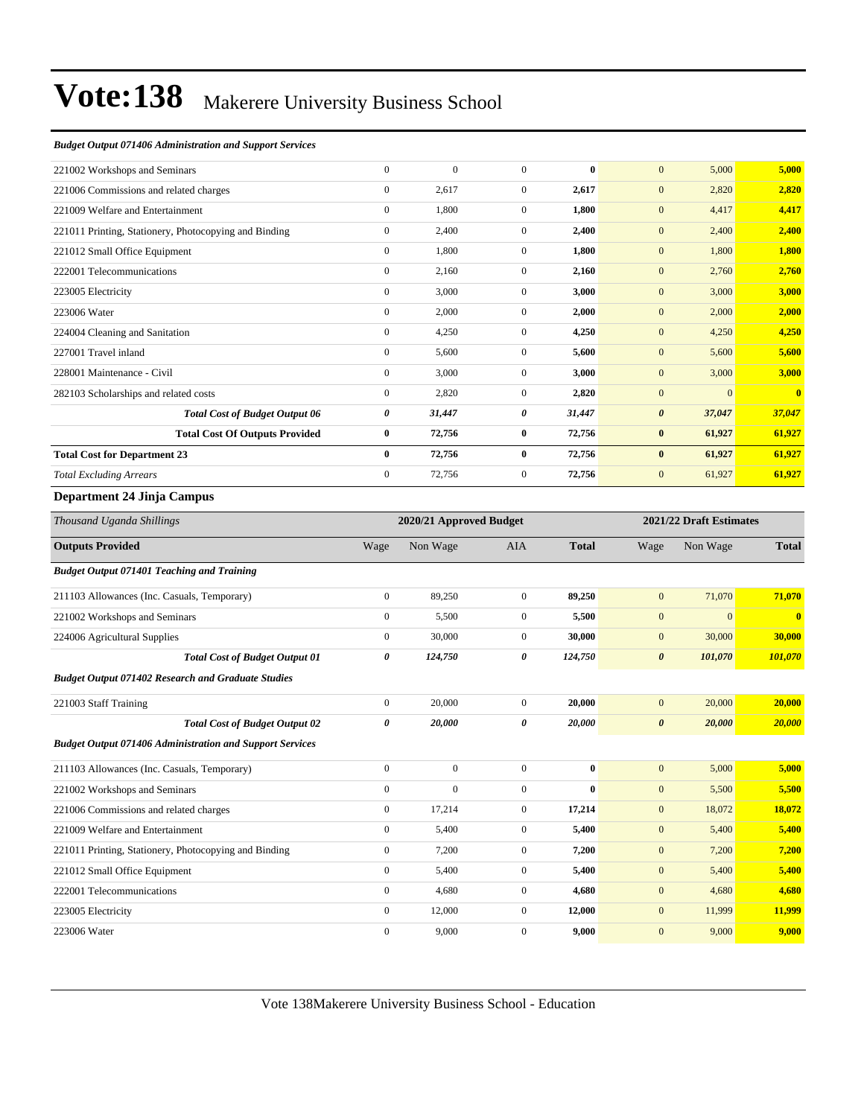#### *Budget Output 071406 Administration and Support Services*

| 221002 Workshops and Seminars                         | $\mathbf{0}$   | $\mathbf{0}$ | $\Omega$     | $\mathbf{0}$ | $\overline{0}$<br>5,000         | 5,000                    |
|-------------------------------------------------------|----------------|--------------|--------------|--------------|---------------------------------|--------------------------|
| 221006 Commissions and related charges                | $\mathbf{0}$   | 2,617        | $\mathbf{0}$ | 2,617        | 2,820<br>$\mathbf{0}$           | 2,820                    |
| 221009 Welfare and Entertainment                      | $\mathbf{0}$   | 1,800        | $\mathbf{0}$ | 1,800        | $\boldsymbol{0}$<br>4,417       | 4,417                    |
| 221011 Printing, Stationery, Photocopying and Binding | $\mathbf{0}$   | 2,400        | $\mathbf{0}$ | 2,400        | $\boldsymbol{0}$<br>2,400       | 2,400                    |
| 221012 Small Office Equipment                         | $\mathbf{0}$   | 1,800        | $\mathbf{0}$ | 1,800        | $\boldsymbol{0}$<br>1,800       | 1,800                    |
| 222001 Telecommunications                             | $\mathbf{0}$   | 2,160        | $\mathbf{0}$ | 2,160        | 2,760<br>$\mathbf{0}$           | 2,760                    |
| 223005 Electricity                                    | $\mathbf{0}$   | 3,000        | $\mathbf{0}$ | 3,000        | $\boldsymbol{0}$<br>3,000       | 3,000                    |
| 223006 Water                                          | $\Omega$       | 2,000        | $\Omega$     | 2,000        | $\boldsymbol{0}$<br>2,000       | 2,000                    |
| 224004 Cleaning and Sanitation                        | $\mathbf{0}$   | 4,250        | $\Omega$     | 4,250        | $\mathbf{0}$<br>4,250           | 4,250                    |
| 227001 Travel inland                                  | $\mathbf{0}$   | 5,600        | $\mathbf{0}$ | 5,600        | $\mathbf{0}$<br>5,600           | 5,600                    |
| 228001 Maintenance - Civil                            | $\overline{0}$ | 3,000        | $\mathbf{0}$ | 3,000        | $\mathbf{0}$<br>3,000           | 3,000                    |
| 282103 Scholarships and related costs                 | $\mathbf{0}$   | 2,820        | $\mathbf{0}$ | 2,820        | $\overline{0}$                  | $\theta$<br>$\mathbf{0}$ |
| <b>Total Cost of Budget Output 06</b>                 | 0              | 31,447       | 0            | 31,447       | 37,047<br>$\boldsymbol{\theta}$ | 37,047                   |
| <b>Total Cost Of Outputs Provided</b>                 | $\bf{0}$       | 72,756       | $\bf{0}$     | 72,756       | 61,927<br>$\bf{0}$              | 61,927                   |
| <b>Total Cost for Department 23</b>                   | $\bf{0}$       | 72,756       | $\bf{0}$     | 72,756       | $\bf{0}$<br>61,927              | 61,927                   |
| <b>Total Excluding Arrears</b>                        | $\mathbf{0}$   | 72,756       | $\mathbf{0}$ | 72,756       | $\mathbf{0}$<br>61,927          | 61,927                   |
| $\sim$ $\sim$ $\sim$ $\sim$ $\sim$                    |                |              |              |              |                                 |                          |

#### **Department 24 Jinja Campus**

| Thousand Uganda Shillings                                       |                | 2020/21 Approved Budget |                |              |                       | 2021/22 Draft Estimates |                         |
|-----------------------------------------------------------------|----------------|-------------------------|----------------|--------------|-----------------------|-------------------------|-------------------------|
| <b>Outputs Provided</b>                                         | Wage           | Non Wage                | <b>AIA</b>     | <b>Total</b> | Wage                  | Non Wage                | <b>Total</b>            |
| <b>Budget Output 071401 Teaching and Training</b>               |                |                         |                |              |                       |                         |                         |
| 211103 Allowances (Inc. Casuals, Temporary)                     | $\overline{0}$ | 89,250                  | $\overline{0}$ | 89,250       | $\mathbf{0}$          | 71,070                  | 71,070                  |
| 221002 Workshops and Seminars                                   | $\mathbf{0}$   | 5,500                   | $\overline{0}$ | 5,500        | $\mathbf{0}$          | $\overline{0}$          | $\overline{\mathbf{0}}$ |
| 224006 Agricultural Supplies                                    | $\mathbf{0}$   | 30,000                  | $\overline{0}$ | 30,000       | $\mathbf{0}$          | 30,000                  | 30,000                  |
| <b>Total Cost of Budget Output 01</b>                           | 0              | 124,750                 | 0              | 124,750      | $\boldsymbol{\theta}$ | 101,070                 | 101,070                 |
| <b>Budget Output 071402 Research and Graduate Studies</b>       |                |                         |                |              |                       |                         |                         |
| 221003 Staff Training                                           | $\overline{0}$ | 20,000                  | $\overline{0}$ | 20,000       | $\mathbf{0}$          | 20,000                  | 20,000                  |
| <b>Total Cost of Budget Output 02</b>                           | 0              | 20,000                  | 0              | 20,000       | $\boldsymbol{\theta}$ | 20,000                  | 20,000                  |
| <b>Budget Output 071406 Administration and Support Services</b> |                |                         |                |              |                       |                         |                         |
| 211103 Allowances (Inc. Casuals, Temporary)                     | $\mathbf{0}$   | $\overline{0}$          | $\Omega$       | $\mathbf{0}$ | $\mathbf{0}$          | 5,000                   | 5,000                   |
| 221002 Workshops and Seminars                                   | $\mathbf{0}$   | $\mathbf{0}$            | $\overline{0}$ | $\bf{0}$     | $\mathbf{0}$          | 5,500                   | 5,500                   |
| 221006 Commissions and related charges                          | $\mathbf{0}$   | 17,214                  | $\overline{0}$ | 17,214       | $\mathbf{0}$          | 18,072                  | 18,072                  |
| 221009 Welfare and Entertainment                                | $\mathbf{0}$   | 5,400                   | $\overline{0}$ | 5,400        | $\mathbf{0}$          | 5,400                   | 5,400                   |
| 221011 Printing, Stationery, Photocopying and Binding           | $\mathbf{0}$   | 7,200                   | $\overline{0}$ | 7,200        | $\mathbf{0}$          | 7,200                   | 7,200                   |
| 221012 Small Office Equipment                                   | $\mathbf{0}$   | 5,400                   | $\overline{0}$ | 5,400        | $\mathbf{0}$          | 5,400                   | 5,400                   |
| 222001 Telecommunications                                       | $\mathbf{0}$   | 4,680                   | $\overline{0}$ | 4,680        | $\mathbf{0}$          | 4,680                   | 4,680                   |
| 223005 Electricity                                              | $\mathbf{0}$   | 12,000                  | $\overline{0}$ | 12,000       | $\mathbf{0}$          | 11,999                  | 11,999                  |
| 223006 Water                                                    | $\mathbf{0}$   | 9,000                   | $\mathbf{0}$   | 9,000        | $\mathbf{0}$          | 9,000                   | 9,000                   |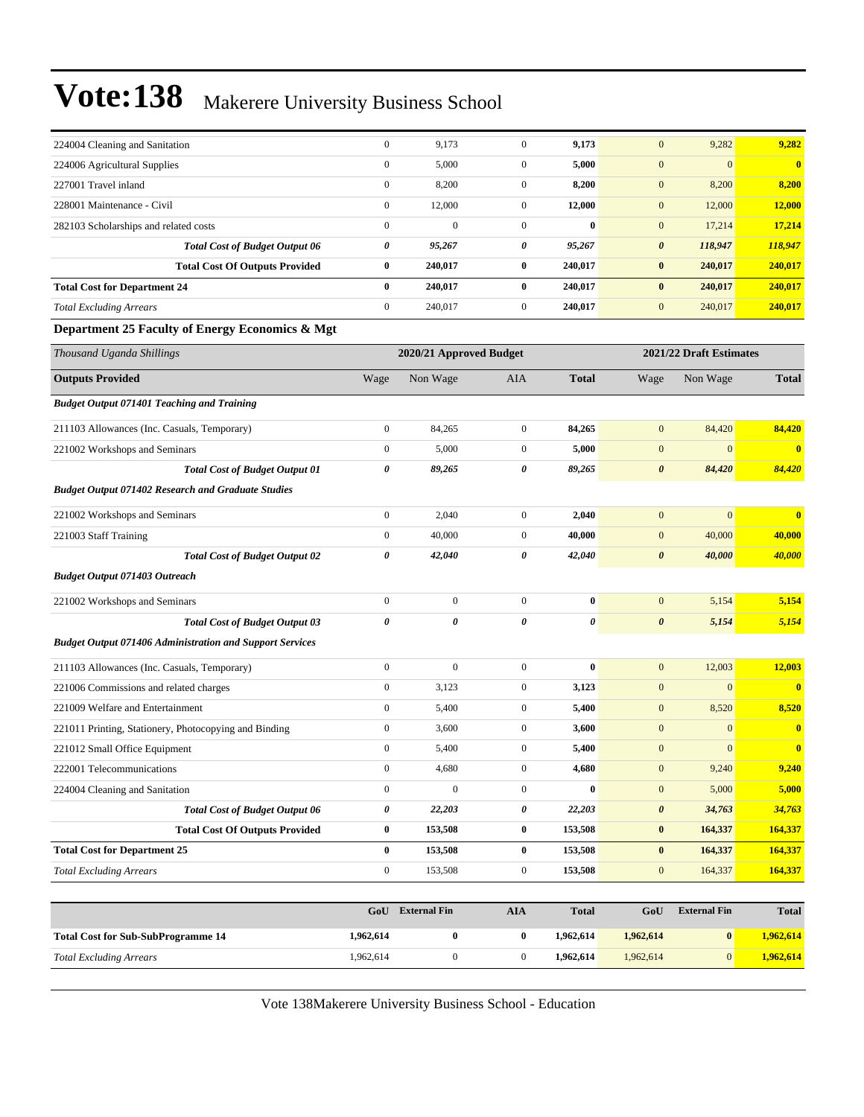| 224004 Cleaning and Sanitation                                  | $\mathbf{0}$          | 9,173                   | $\mathbf{0}$     | 9,173        | $\mathbf{0}$          | 9,282                   | 9,282                   |
|-----------------------------------------------------------------|-----------------------|-------------------------|------------------|--------------|-----------------------|-------------------------|-------------------------|
| 224006 Agricultural Supplies                                    | $\boldsymbol{0}$      | 5,000                   | $\boldsymbol{0}$ | 5,000        | $\mathbf{0}$          | $\mathbf{0}$            | $\bf{0}$                |
| 227001 Travel inland                                            | $\boldsymbol{0}$      | 8,200                   | $\boldsymbol{0}$ | 8,200        | $\mathbf{0}$          | 8,200                   | 8,200                   |
| 228001 Maintenance - Civil                                      | $\boldsymbol{0}$      | 12,000                  | $\mathbf{0}$     | 12,000       | $\mathbf{0}$          | 12,000                  | 12,000                  |
| 282103 Scholarships and related costs                           | $\mathbf{0}$          | $\mathbf{0}$            | $\overline{0}$   | $\bf{0}$     | $\mathbf{0}$          | 17,214                  | 17,214                  |
| <b>Total Cost of Budget Output 06</b>                           | 0                     | 95,267                  | 0                | 95,267       | $\boldsymbol{\theta}$ | 118,947                 | 118,947                 |
| <b>Total Cost Of Outputs Provided</b>                           | $\bf{0}$              | 240,017                 | $\bf{0}$         | 240,017      | $\bf{0}$              | 240,017                 | 240,017                 |
| <b>Total Cost for Department 24</b>                             | $\bf{0}$              | 240,017                 | $\bf{0}$         | 240,017      | $\bf{0}$              | 240,017                 | 240,017                 |
| <b>Total Excluding Arrears</b>                                  | $\boldsymbol{0}$      | 240,017                 | $\mathbf{0}$     | 240,017      | $\mathbf{0}$          | 240,017                 | 240,017                 |
| Department 25 Faculty of Energy Economics & Mgt                 |                       |                         |                  |              |                       |                         |                         |
| Thousand Uganda Shillings                                       |                       | 2020/21 Approved Budget |                  |              |                       | 2021/22 Draft Estimates |                         |
| <b>Outputs Provided</b>                                         | Wage                  | Non Wage                | AIA              | <b>Total</b> | Wage                  | Non Wage                | <b>Total</b>            |
| <b>Budget Output 071401 Teaching and Training</b>               |                       |                         |                  |              |                       |                         |                         |
| 211103 Allowances (Inc. Casuals, Temporary)                     | $\mathbf{0}$          | 84,265                  | $\overline{0}$   | 84,265       | $\mathbf{0}$          | 84,420                  | 84,420                  |
| 221002 Workshops and Seminars                                   | $\boldsymbol{0}$      | 5,000                   | $\mathbf{0}$     | 5,000        | $\mathbf{0}$          | $\mathbf{0}$            | $\overline{\mathbf{0}}$ |
| <b>Total Cost of Budget Output 01</b>                           | 0                     | 89,265                  | 0                | 89,265       | $\boldsymbol{\theta}$ | 84,420                  | 84,420                  |
| <b>Budget Output 071402 Research and Graduate Studies</b>       |                       |                         |                  |              |                       |                         |                         |
| 221002 Workshops and Seminars                                   | $\mathbf{0}$          | 2,040                   | $\overline{0}$   | 2,040        | $\boldsymbol{0}$      | $\mathbf{0}$            | $\bf{0}$                |
| 221003 Staff Training                                           | $\boldsymbol{0}$      | 40,000                  | $\mathbf{0}$     | 40,000       | $\mathbf{0}$          | 40,000                  | 40,000                  |
| <b>Total Cost of Budget Output 02</b>                           | 0                     | 42,040                  | 0                | 42,040       | $\boldsymbol{\theta}$ | 40,000                  | 40,000                  |
| <b>Budget Output 071403 Outreach</b>                            |                       |                         |                  |              |                       |                         |                         |
| 221002 Workshops and Seminars                                   | $\mathbf{0}$          | $\boldsymbol{0}$        | $\mathbf{0}$     | $\bf{0}$     | $\mathbf{0}$          | 5,154                   | 5,154                   |
| <b>Total Cost of Budget Output 03</b>                           | $\boldsymbol{\theta}$ | 0                       | 0                | 0            | $\boldsymbol{\theta}$ | 5,154                   | 5,154                   |
| <b>Budget Output 071406 Administration and Support Services</b> |                       |                         |                  |              |                       |                         |                         |
| 211103 Allowances (Inc. Casuals, Temporary)                     | $\mathbf{0}$          | $\boldsymbol{0}$        | $\overline{0}$   | $\bf{0}$     | $\boldsymbol{0}$      | 12,003                  | 12,003                  |
| 221006 Commissions and related charges                          | $\mathbf{0}$          | 3,123                   | $\mathbf{0}$     | 3,123        | $\mathbf{0}$          | $\mathbf{0}$            | $\bf{0}$                |
| 221009 Welfare and Entertainment                                | $\mathbf{0}$          | 5,400                   | $\mathbf{0}$     | 5,400        | $\boldsymbol{0}$      | 8,520                   | 8,520                   |
| 221011 Printing, Stationery, Photocopying and Binding           | $\boldsymbol{0}$      | 3,600                   | $\mathbf{0}$     | 3,600        | $\boldsymbol{0}$      | $\mathbf{0}$            | $\bf{0}$                |
| 221012 Small Office Equipment                                   | $\boldsymbol{0}$      | 5,400                   | $\boldsymbol{0}$ | 5,400        | $\mathbf{0}$          | $\mathbf{0}$            | $\bf{0}$                |
| 222001 Telecommunications                                       | $\theta$              | 4,680                   | $\theta$         | 4,680        | $\theta$              | 9,240                   | <u>9,240</u>            |
| 224004 Cleaning and Sanitation                                  | $\mathbf{0}$          | $\boldsymbol{0}$        | $\overline{0}$   | $\bf{0}$     | $\mathbf{0}$          | 5,000                   | 5,000                   |
| <b>Total Cost of Budget Output 06</b>                           | 0                     | 22,203                  | 0                | 22,203       | $\pmb{\theta}$        | 34,763                  | 34,763                  |
| <b>Total Cost Of Outputs Provided</b>                           | $\bf{0}$              | 153,508                 | $\bf{0}$         | 153,508      | $\pmb{0}$             | 164,337                 | 164,337                 |
| <b>Total Cost for Department 25</b>                             | $\bf{0}$              | 153,508                 | $\bf{0}$         | 153,508      | $\bf{0}$              | 164,337                 | 164,337                 |
| <b>Total Excluding Arrears</b>                                  | $\boldsymbol{0}$      | 153,508                 | $\mathbf{0}$     | 153,508      | $\boldsymbol{0}$      | 164,337                 | 164,337                 |
|                                                                 |                       |                         |                  |              |                       | <b>External Fin</b>     |                         |
|                                                                 | GoU                   | <b>External Fin</b>     | <b>AIA</b>       | <b>Total</b> | GoU                   |                         | <b>Total</b>            |
| <b>Total Cost for Sub-SubProgramme 14</b>                       | 1,962,614             | $\bf{0}$                | $\bf{0}$         | 1,962,614    | 1,962,614             | $\bf{0}$                | 1,962,614               |
| <b>Total Excluding Arrears</b>                                  | 1,962,614             | $\boldsymbol{0}$        | $\overline{0}$   | 1,962,614    | 1,962,614             | $\vert 0 \vert$         | 1,962,614               |